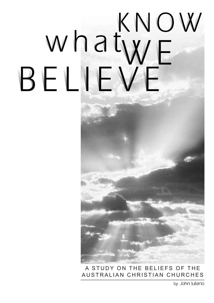# KNOW whatwe BELIEN F

A STUDY ON THE BELIEFS OF THE AUSTRALIAN CHRISTIAN CHURCHES

by John Iuliano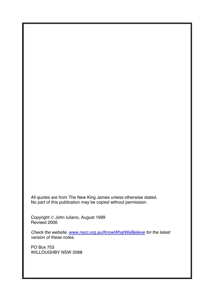All quotes are from The New King James unless otherwise stated. No part of this publication may be copied without permission.

Copyright © John Iuliano, August 1999 Revised 2006

*Check the website, www.nscc.org.au/KnowWhatWeBelieve for the latest version of these notes.* 

PO Box 753 WILLOUGHBY NSW 2068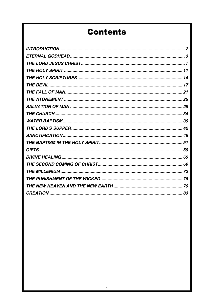## **Contents**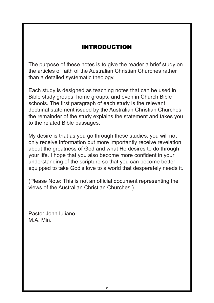## **INTRODUCTION**

The purpose of these notes is to give the reader a brief study on the articles of faith of the Australian Christian Churches rather than a detailed systematic theology.

 $\frac{1}{2}$  is designed as teaching notes that can be used in Bible study in Bible study in Bible study in Bible study in Bible study in Bible study in Bible study in Bible study in Bible study in Bible study in Bible study schools. The first paragraph of each study is the relevant doctrinal statement issued by the Australian Christian Churches; the remainder of the study explains the statement and takes you to the related Bible passages. to the related Bible passages. Each study is designed as teaching notes that can be used in Bible study groups, home groups, and even in Church Bible

My desire is that as you go through these studies, you will not information but more importantly receive revelation about the greatness of God about the greatness of God and what He desires to do through your life. I hope that you also become more confident in your understanding of the scripture so that you can become better equipped to take God's love to a world that desperately needs it. only receive information but more importantly receive revelation

(Please Note: This is not an official document representing the views of the Australian Christian Churches.)

Pastor John Iuliano M.A. Min.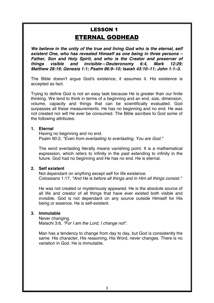## **LESSON 1 ETERNAL GODHEAD**

*We believe in the unity of the true and living God who is the eternal, self existent One, who has revealed Himself as one being in three persons – Father, Son and Holy Spirit, and who is the Creator and preserver of things visible and invisible—Deuteronomy 6:4, Mark 12:29; Matthew 28:19; Genesis 1:1; Psalm 86:9–10; Isaiah 43:10–11; John 1:1–3.*

The Bible doesn't argue God's existence; it assumes it. His existence is accepted as fact.

Trying to define God is not an easy task because He is greater than our finite thinking. We tend to think in terms of a beginning and an end, size, dimension, volume, capacity and things that can be scientifically evaluated. God surpasses all these measurements. He has no beginning and no end. He was not created nor will He ever be consumed. The Bible ascribes to God some of the following attributes:

#### **1. Eternal**

 Having no beginning and no end. Psalm 90:2, *"Even from everlasting to everlasting, You are God."*

The word everlasting literally means vanishing point. It is a mathematical expression, which refers to infinity in the past extending to infinity in the future. God had no beginning and He has no end. He is eternal.

#### **2. Self existent**

 Not dependant on anything except self for life existence. Colossians 1:17, *"And He is before all things and in Him all things consist."*

He was not created or mysteriously appeared. He is the absolute source of all life and creator of all things that have ever existed both visible and invisible. God is not dependant on any source outside Himself for His being or essence. He is self-existent.

#### **3. Immutable**

 Never changing. Malachi 3:6, *"For I am the Lord, I change not".*

Man has a tendency to change from day to day, but God is consistently the same. His character, His reasoning, His Word, never changes. There is no variation in God. He is immutable.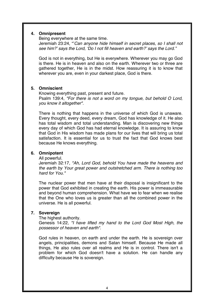#### **4. Omnipresent**

 Being everywhere at the same time. Jeremiah 23:24, "'*Can anyone hide himself in secret places, so I shall not*  see him?' says the Lord, ʻDo I not fill heaven and earth?' sa*ys the Lord."* 

God is not in everything, but He is everywhere. Wherever you may go God is there. He is in heaven and also on the earth. Wherever two or three are gathered together, He is in the midst. How reassuring it is to know that wherever you are, even in your darkest place, God is there.

#### **5. Omniscient**

 Knowing everything past, present and future. Psalm 139:4, *"For there is not a word on my tongue, but behold O Lord, you know it altogether".* 

There is nothing that happens in the universe of which God is unaware. Every thought, every deed, every dream, God has knowledge of it. He also has total wisdom and total understanding. Man is discovering new things every day of which God has had eternal knowledge. It is assuring to know that God in His wisdom has made plans for our lives that will bring us total satisfaction. It is essential for us to trust the fact that God knows best because He knows everything.

#### **6. Omnipotent**

All powerful.

Jeremiah 32:17, *"Ah, Lord God, behold You have made the heavens and the earth by Your great power and outstretched arm. There is nothing too hard for You."*

The nuclear power that men have at their disposal is insignificant to the power that God exhibited in creating the earth. His power is immeasurable and beyond human comprehension. What have we to fear when we realise that the One who loves us is greater than all the combined power in the universe. He is all powerful.

#### **7. Sovereign**

The highest authority.

Genesis 14:22, *"I have lifted my hand to the Lord God Most High, the possessor of heaven and earth".*

God rules in heaven, on earth and under the earth. He is sovereign over angels, principalities, demons and Satan himself. Because He made all things, He also rules over all realms and He is in control. There isn't a problem for which God doesn't have a solution. He can handle any difficulty because He is sovereign.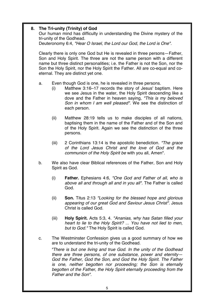#### **8. The Tri-unity (Trinity) of God**

Our human mind has difficulty in understanding the Divine mystery of the tri-unity of the Godhead.

Deuteronomy 6:4, *"Hear O Israel, the Lord our God, the Lord is One".*

Clearly there is only one God but He is revealed in three persons—Father, Son and Holy Spirit. The three are not the same person with a different name but three distinct personalities; i.e. the Father is not the Son, nor the Son the Holy Spirit, nor the Holy Spirit the Father. All are co-equal and coeternal. They are distinct yet one.

- a. Even though God is one, he is revealed in three persons.
	- (i) Matthew 3:16–17 records the story of Jesus' baptism. Here we see Jesus in the water, the Holy Spirit descending like a dove and the Father in heaven saying, *"This is my beloved Son in whom I am well pleased".* We see the distinction of each person.
	- (ii) Matthew 28:19 tells us to make disciples of all nations, baptising them in the name of the Father and of the Son and of the Holy Spirit. Again we see the distinction of the three persons.
	- (iii) 2 Corinthians 13:14 is the apostolic benediction. *"The grace of the Lord Jesus Christ and the love of God and the communion of the Holy Spirit be* with you all, Amen".
- b. We also have clear Biblical references of the Father, Son and Holy Spirit as God.
	- (i) **Father.** Ephesians 4:6, *"One God and Father of all, who is above all and through all and in you all".* The Father is called God.
	- (ii) **Son.** Titus 2:13 *"Looking for the blessed hope and glorious appearing of our great God and Saviour Jesus Christ".* Jesus Christ is called God.
	- (iii) **Holy Spirit.** Acts 5:3, 4. *"Ananias, why has Satan filled your heart to lie to the Holy Spirit? ... You have not lied to men, but to God."* The Holy Spirit is called God.
- c. The Westminster Confession gives us a good summary of how we are to understand the tri-unity of the Godhead.

*"There is but one living and true God. In the unity of the Godhead there are three persons, of one substance, power and eternity— God the Father, God the Son, and God the Holy Spirit. The Father is one, neither begotten nor proceeding; the Son is eternally begotten of the Father, the Holy Spirit eternally proceeding from the Father and the Son".*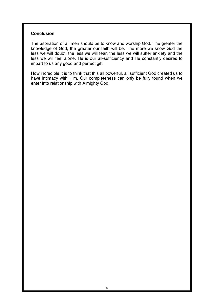#### **Conclusion**

The aspiration of all men should be to know and worship God. The greater the knowledge of God, the greater our faith will be. The more we know God the less we will doubt, the less we will fear, the less we will suffer anxiety and the less we will feel alone. He is our all-sufficiency and He constantly desires to impart to us any good and perfect gift.

How incredible it is to think that this all powerful, all sufficient God created us to have intimacy with Him. Our completeness can only be fully found when we enter into relationship with Almighty God.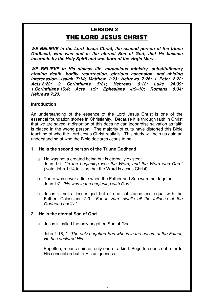## **LESSON 2** THE LORD JESUS CHRIST

*WE BELIEVE in the Lord Jesus Christ, the second person of the triune Godhead, who was and is the eternal Son of God; that He became incarnate by the Holy Spirit and was born of the virgin Mary.* 

*WE BELIEVE in His sinless life, miraculous ministry, substitutionary atoning death, bodily resurrection, glorious ascension, and abiding intercession—Isaiah 7:14; Matthew 1:23; Hebrews 7:26; 1 Peter 2:22; Acts 2:22; 2 Corinthians 5:21; Hebrews 9:12; Luke 24:39; 1 Corinthians 15:4; Acts 1:9; Ephesians 4:9–10; Romans 8:34; Hebrews 7:23.* 

#### **Introduction**

An understanding of the essence of the Lord Jesus Christ is one of the essential foundation stones in Christianity. Because it is through faith in Christ that we are saved, a distortion of this doctrine can jeopardise salvation as faith is placed in the wrong person. The majority of cults have distorted this Bible teaching of who the Lord Jesus Christ really is. This study will help us gain an understanding of who the Bible declares Jesus to be.

#### **1. He is the second person of the Triune Godhead**

- a. He was not a created being but is eternally existent. John 1:1, *"In the beginning was the Word, and the Word was God."* (Note John 1:14 tells us that the Word is Jesus Christ).
- b. There was never a time when the Father and Son were not together. John 1:2, *"He was in the beginning with God".*
- c. Jesus is not a lesser god but of one substance and equal with the Father. Colossians 2:9, *"For in Him, dwells all the fullness of the Godhead bodily."*

#### **2. He is the eternal Son of God**

a. Jesus is called the only begotten Son of God.

John 1:18, *"...The only begotten Son who is in the bosom of the Father, He has declared Him."*

Begotten, means unique, only one of a kind. Begotten does not refer to His conception but to His uniqueness.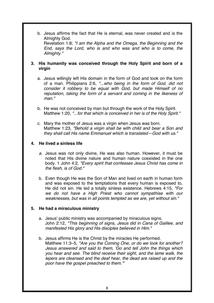b. Jesus affirms the fact that He is eternal, was never created and is the Almighty God.

Revelation 1:8; *"I am the Alpha and the Omega, the Beginning and the End, says the Lord, who is and who was and who is to come, the Almighty."* 

#### **3. His humanity was conceived through the Holy Spirit and born of a virgin**

- a. Jesus willingly left His domain in the form of God and took on the form of a man. Philippians 2:6, *"...who being in the form of God, did not consider it robbery to be equal with God, but made Himself of no reputation, taking the form of a servant and coming in the likeness of man."*
- b. He was not conceived by man but through the work of the Holy Spirit. Matthew 1:20, *"...for that which is conceived in her is of the Holy Spirit."*
- c. Mary the mother of Jesus was a virgin when Jesus was born. Matthew 1:23, *"Behold a virgin shall be with child and bear a Son and they shall call His name Emmanuel which is translated—God with us."*

#### **4. He lived a sinless life**

- *a.* Jesus was not only divine, He was also human. However, it must be noted that His divine nature and human nature coexisted in the one body. 1 John 4:2, *"Every spirit that confesses Jesus Christ has come in the flesh, is of God."*
- b. Even though He was the Son of Man and lived on earth in human form and was exposed to the temptations that every human is exposed to, He did not sin. He led a totally sinless existence. Hebrews 4:15, *"For we do not have a High Priest who cannot sympathise with our weaknesses, but was in all points tempted as we are, yet without sin."*

#### **5. He had a miraculous ministry**

- a. Jesus' public ministry was accompanied by miraculous signs. John 2:12, *"This beginning of signs, Jesus did in Cana of Galilee, and manifested His glory and His disciples believed in Him."*
- b. Jesus affirms He is the Christ by the miracles He performed. Matthew 11:3–5, *"Are you the Coming One, or do we look for another? Jesus answered and said to them, 'Go and tell John the things which you hear and see. The blind receive their sight, and the lame walk, the lepers are cleansed and the deaf hear, the dead are raised up and the poor have the gospel preached to them.'"*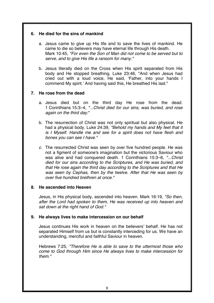#### **6. He died for the sins of mankind**

- a. Jesus came to give up His life and to save the lives of mankind. He came to die so believers may have eternal life through His death. Mark 10:45, *"For even the Son of Man did not come to be served but to serve, and to give His life a ransom for many."*
- b. Jesus literally died on the Cross when His spirit separated from His body and He stopped breathing. Luke 23:46, "And when Jesus had cried out with a loud voice, He said, ʻFather, into your hands I commend My spirit.' And having said this, He breathed His last."

#### **7. He rose from the dead**

- a. Jesus died but on the third day He rose from the dead. 1 Corinthians 15:3–4, *"...Christ died for our sins, was buried, and rose again on the third day.*"
- b. The resurrection of Christ was not only spiritual but also physical. He had a physical body. Luke 24:39, *"Behold my hands and My feet that it is I Myself. Handle me and see for a spirit does not have flesh and bones you can see I have."*
- *c.* The resurrected Christ was seen by over five hundred people. He was not a figment of someone's imagination but the victorious Saviour who was alive and had conquered death. 1 Corinthians 15:3–6, *"...Christ died for our sins according to the Scriptures, and He was buried, and that He rose again the third day according to the Scriptures and that He was seen by Cephas, then by the twelve. After that He was seen by over five hundred brethren at once."*

#### **8. He ascended into Heaven**

Jesus, in His physical body, ascended into heaven. Mark 16:19, *"So then, after the Lord had spoken to them, He was received up into heaven and sat down at the right hand of God."* 

#### **9. He always lives to make intercession on our behalf**

Jesus continues His work in heaven on the believers' behalf. He has not separated Himself from us but is constantly interceding for us. We have an understanding, merciful and faithful Saviour in heaven.

Hebrews 7:25, *"Therefore He is able to save to the uttermost those who come to God through Him since He always lives to make intercession for them."*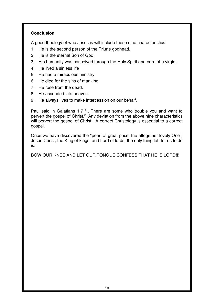#### **Conclusion**

A good theology of who Jesus is will include these nine characteristics:

- 1. He is the second person of the Triune godhead.
- 2. He is the eternal Son of God.
- 3. His humanity was conceived through the Holy Spirit and born of a virgin.
- 4. He lived a sinless life
- 5. He had a miraculous ministry.
- 6. He died for the sins of mankind.
- 7. He rose from the dead.
- 8. He ascended into heaven.
- 9. He always lives to make intercession on our behalf.

Paul said in Galatians 1:7 "…There are some who trouble you and want to pervert the gospel of Christ." Any deviation from the above nine characteristics will pervert the gospel of Christ. A correct Christology is essential to a correct gospel.

Once we have discovered the "pearl of great price, the altogether lovely One", Jesus Christ, the King of kings, and Lord of lords, the only thing left for us to do is:

BOW OUR KNEE AND LET OUR TONGUE CONFESS THAT HE IS LORD!!!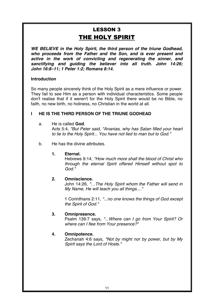## **LESSON 3** THE HOLY SPIRIT

*WE BELIEVE in the Holy Spirit, the third person of the triune Godhead, who proceeds from the Father and the Son, and is ever present and active in the work of convicting and regenerating the sinner, and sanctifying and guiding the believer into all truth. John 14:26; John 16:8–11; 1 Peter 1:2; Romans 8:14.* 

#### **Introduction**

So many people sincerely think of the Holy Spirit as a mere influence or power. They fail to see Him as a person with individual characteristics. Some people don't realise that if it weren't for the Holy Spirit there would be no Bible, no faith, no new birth, no holiness, no Christian in the world at all.

#### **I HE IS THE THIRD PERSON OF THE TRIUNE GODHEAD**

#### a. He is called **God**.

Acts 5:4, *"But Peter said, "Ananias, why has Satan filled your heart to lie to the Holy Spirit... You have not lied to man but to God."*

b. He has the divine attributes.

#### **1. Eternal.**

Hebrews 9:14, *"How much more shall the blood of Christ who through the eternal Spirit offered Himself without spot to God."*

#### **2. Omniscience.**

John 14:26, *"…The Holy Spirit whom the Father will send in My Name, He will teach you all things...."*

1 Corinthians 2:11, *"...no one knows the things of God except the Spirit of God."*

#### **3. Omnipresence.**

Psalm 139:7 says, *"...Where can I go from Your Spirit? Or where can I flee from Your presence?"*

#### **4. Omnipotence.**

Zechariah 4:6 says, *"Not by might nor by power, but by My Spirit says the Lord of Hosts."*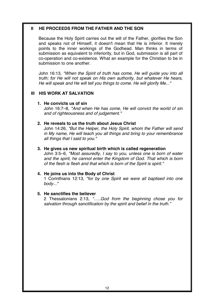#### **II HE PROCEEDS FROM THE FATHER AND THE SON**

Because the Holy Spirit carries out the will of the Father, glorifies the Son and speaks not of Himself, it doesn't mean that He is inferior. It merely points to the inner workings of the Godhead. Man thinks in terms of submission as equivalent to inferiority, but in God, submission is all part of co-operation and co-existence. What an example for the Christian to be in submission to one another.

John 16:13, *"When the Spirit of truth has come, He will guide you into all truth; for He will not speak on His own authority, but whatever He hears, He will speak and He will tell you things to come. He will glorify Me..."*

#### **III HIS WORK AT SALVATION**

#### **1. He convicts us of sin**

John 16:7–8, *"And when He has come, He will convict the world of sin and of righteousness and of judgement."* 

#### **2. He reveals to us the truth about Jesus Christ**

John 14:26, *"But the Helper, the Holy Spirit, whom the Father will send in My name, He will teach you all things and bring to your remembrance all things that I said to you."*

#### **3. He gives us new spiritual birth which is called regeneration**

John 3:5–6, *"Most assuredly, I say to you, unless one is born of water and the spirit, he cannot enter the Kingdom of God. That which is born of the flesh is flesh and that which is born of the Spirit is spirit."*

#### **4. He joins us into the Body of Christ**

1 Corinthians 12:13, *"for by one Spirit we were all baptised into one body..."*

#### **5. He sanctifies the believer**

2 Thessalonians 2:13, *"…..God from the beginning chose you for salvation through sanctification by the spirit and belief in the truth."*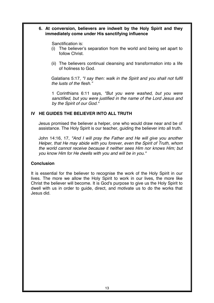#### **6. At conversion, believers are indwelt by the Holy Spirit and they immediately come under His sanctifying influence**

Sanctification is:

- (i) The believer's separation from the world and being set apart to follow Christ.
- (ii) The believers continual cleansing and transformation into a life of holiness to God.

Galatians 5:17, *"I say then: walk in the Spirit and you shall not fulfil the lusts of the flesh."*

1 Corinthians 6:11 says, *"But you were washed, but you were sanctified, but you were justified in the name of the Lord Jesus and by the Spirit of our God."*

#### **IV HE GUIDES THE BELIEVER INTO ALL TRUTH**

Jesus promised the believer a helper, one who would draw near and be of assistance. The Holy Spirit is our teacher, guiding the believer into all truth.

John 14:16, 17, *"And I will pray the Father and He will give you another Helper, that He may abide with you forever, even the Spirit of Truth, whom the world cannot receive because it neither sees Him nor knows Him; but you know Him for He dwells with you and will be in you."*

#### **Conclusion**

It is essential for the believer to recognise the work of the Holy Spirit in our lives. The more we allow the Holy Spirit to work in our lives, the more like Christ the believer will become. It is God's purpose to give us the Holy Spirit to dwell with us in order to guide, direct, and motivate us to do the works that Jesus did.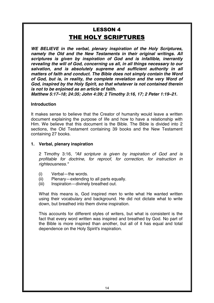## **LESSON 4** THE HOLY SCRIPTURES

*WE BELIEVE in the verbal, plenary inspiration of the Holy Scriptures, namely the Old and the New Testaments in their original writings. All scriptures is given by inspiration of God and is infallible, inerrantly revealing the will of God, concerning us all, in all things necessary to our salvation, and is absolutely supreme and sufficient authority in all matters of faith and conduct. The Bible does not simply contain the Word of God, but is, in reality, the complete revelation and the very Word of God, inspired by the Holy Spirit, so that whatever is not contained therein is not to be enjoined as an article of faith.* 

*Matthew 5:17–18; 24:35; John 4:39; 2 Timothy 3:16, 17; 2 Peter 1:19–21.* 

#### **Introduction**

It makes sense to believe that the Creator of humanity would leave a written document explaining the purpose of life and how to have a relationship with Him. We believe that this document is the Bible. The Bible is divided into 2 sections, the Old Testament containing 39 books and the New Testament containing 27 books.

#### **1. Verbal, plenary inspiration**

2 Timothy 3:16, *"All scripture is given by inspiration of God and is profitable for doctrine, for reproof, for correction, for instruction in righteousness."*

- (i) Verbal—the words.
- (ii) Plenary—extending to all parts equally.
- (iii) Inspiration—divinely breathed out.

What this means is, God inspired men to write what He wanted written using their vocabulary and background. He did not dictate what to write down, but breathed into them divine inspiration.

This accounts for different styles of writers, but what is consistent is the fact that every word written was inspired and breathed by God. No part of the Bible is more inspired than another, but all of it has equal and total dependence on the Holy Spirit's inspiration.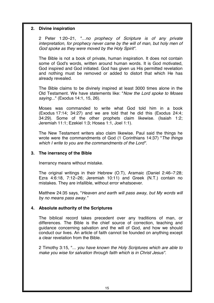#### **2. Divine inspiration**

2 Peter 1:20–21, *"…no prophecy of Scripture is of any private interpretation, for prophecy never came by the will of man, but holy men of God spoke as they were moved by the Holy Spirit".*

The Bible is not a book of private, human inspiration. It does not contain some of God's words, written around human words. It is God motivated, God inspired and God initiated. God has given us His permitted revelation and nothing must be removed or added to distort that which He has already revealed.

The Bible claims to be divinely inspired at least 3000 times alone in the Old Testament. We have statements like: "*Now the Lord spoke to Moses saying...*" (Exodus 14:1, 15, 26).

Moses was commanded to write what God told him in a book (Exodus 17:14; 34:27) and we are told that he did this (Exodus 24:4; 34:29). Some of the other prophets claim likewise. (Isaiah 1:2; Jeremiah 11:1; Ezekiel 1:3; Hosea 1:1, Joel 1:1).

The New Testament writers also claim likewise. Paul said the things he wrote were the commandments of God (1 Corinthians 14:37) "*The things which I write to you are the commandments of the Lord".*

#### **3. The inerrancy of the Bible**

Inerrancy means without mistake.

The original writings in their Hebrew (O.T), Aramaic (Daniel 2:46–7:28; Ezra 4:6:18, 7:12–26; Jeremiah 10:11) and Greek (N.T.) contain no mistakes. They are infallible, without error whatsoever.

Matthew 24:35 says, "*Heaven and earth will pass away, but My words will by no means pass away."*

#### **4. Absolute authority of the Scriptures**

The biblical record takes precedent over any traditions of man, or differences. The Bible is the chief source of correction, teaching and guidance concerning salvation and the will of God, and how we should conduct our lives. An article of faith cannot be founded on anything except a clear revelation from the Bible.

2 Timothy 3:15, "... *you have known the Holy Scriptures which are able to make you wise for salvation through faith which is in Christ Jesus".*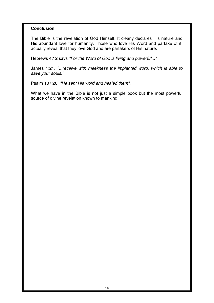#### **Conclusion**

The Bible is the revelation of God Himself. It clearly declares His nature and His abundant love for humanity. Those who love His Word and partake of it, actually reveal that they love God and are partakers of His nature.

Hebrews 4:12 says *"For the Word of God is living and powerful..."*

James 1:21, *"...receive with meekness the implanted word, which is able to save your souls."*

Psalm 107:20, *"He sent His word and healed them".*

What we have in the Bible is not just a simple book but the most powerful source of divine revelation known to mankind.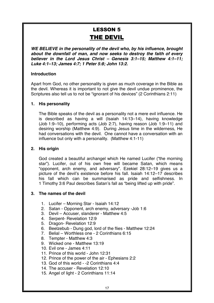## **LESSON 5** THE DEVIL

*WE BELIEVE in the personality of the devil who, by his influence, brought about the downfall of man, and now seeks to destroy the faith of every believer in the Lord Jesus Christ – Genesis 3:1–15; Matthew 4:1–11; Luke 4:1–13; James 4:7; 1 Peter 5:8; John 13:2.* 

#### **Introduction**

Apart from God, no other personality is given as much coverage in the Bible as the devil. Whereas it is important to not give the devil undue prominence, the Scriptures also tell us to not be "ignorant of his devices" (2 Corinthians 2:11)

#### **1. His personality**

The Bible speaks of the devil as a personality not a mere evil influence. He is described as having a will (Isaiah 14:13–14), having knowledge (Job 1:9–10), performing acts (Job 2:7), having reason (Job 1:9–11) and desiring worship (Matthew 4:9). During Jesus time in the wilderness, He had conversations with the devil. One cannot have a conversation with an influence but only with a personality. (Matthew 4:1-11)

#### **2. His origin**

God created a beautiful archangel which He named Lucifer ("the morning star"). Lucifer, out of his own free will became Satan, which means "opponent, arch enemy, and adversary". Ezekiel 28:12–19 gives us a picture of the devil's existence before his fall. Isaiah 14:12–17 describes his fall which can be summarised as pride and selfishness. In 1 Timothy 3:6 Paul describes Satan's fall as "being lifted up with pride".

#### **3. The names of the devil**

- 1. Lucifer Morning Star Isaiah 14:12
- 2. Satan Opponent, arch enemy, adversary -Job 1:6
- 3. Devil Accuser, slanderer Matthew 4:5
- 4. Serpent- Revelation 12:9
- 5. Dragon- Revelation 12:9
- 6. Beelzebub Dung god, lord of the flies Matthew 12:24
- 7. Belial Worthless one 2 Corinthians 6:15
- 8. Tempter Matthew 4:3
- 9. Wicked one Matthew 13:19
- 10. Evil one James 4:11
- 11. Prince of this world John 12:31
- 12. Prince of the power of the air Ephesians 2:2
- 13. God of this world -2 Corinthians 4:4
- 14. The accuser Revelation 12:10
- 15. Angel of light 2 Corinthians 11:14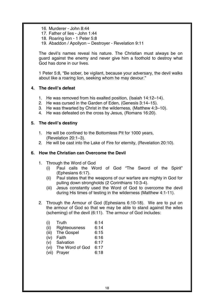- 16. Murderer John 8:44
- 17. Father of lies John 1:44
- 18. Roaring lion 1 Peter 5:8
- 19. Abaddon / Apollyon Destroyer Revelation 9:11

The devil's names reveal his nature. The Christian must always be on guard against the enemy and never give him a foothold to destroy what God has done in our lives.

1 Peter 5:8, "Be sober, be vigilant, because your adversary, the devil walks about like a roaring lion, seeking whom he may devour."

#### **4. The devil's defeat**

- 1. He was removed from his exalted position, (Isaiah 14:12–14).
- 2. He was cursed in the Garden of Eden, (Genesis 3:14–15).
- 3. He was thwarted by Christ in the wilderness, (Matthew 4:3–10).
- 4. He was defeated on the cross by Jesus, (Romans 16:20).

#### **5. The devil's destiny**

- 1. He will be confined to the Bottomless Pit for 1000 years, (Revelation 20:1–3).
- 2. He will be cast into the Lake of Fire for eternity, (Revelation 20:10).

#### **6. How the Christian can Overcome the Devil**

- 1. Through the Word of God
	- (i) Paul calls the Word of God "The Sword of the Spirit" (Ephesians 6:17).
	- (ii) Paul states that the weapons of our warfare are mighty in God for pulling down strongholds (2 Corinthians 10:3-4).
	- (iii) Jesus constantly used the Word of God to overcome the devil during His times of testing in the wilderness (Matthew 4:1-11).
- 2. Through the Armour of God (Ephesians 6:10-18). We are to put on the armour of God so that we may be able to stand against the wiles (scheming) of the devil (6:11). The armour of God includes:

| (i)   | Truth             | 6:14 |
|-------|-------------------|------|
| (ii)  | Righteousness     | 6:14 |
| (iii) | <b>The Gospel</b> | 6:15 |
| (iv)  | Faith             | 6:16 |
| (V)   | Salvation         | 6:17 |
| (vi)  | The Word of God   | 6:17 |
| (vii) | Prayer            | 6:18 |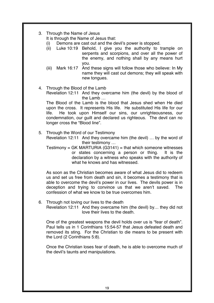3. Through the Name of Jesus

It is through the Name of Jesus that:

- (i) Demons are cast out and the devil's power is stopped.
- (ii) Luke 10:19 Behold, I give you the authority to trample on serpents and scorpions, and over all the power of the enemy, and nothing shall by any means hurt you
- (iii) Mark 16:17 And these signs will follow those who believe: In My name they will cast out demons; they will speak with new tongues.
- 4. Through the Blood of the Lamb Revelation 12:11 And they overcame him (the devil) by the blood of the Lamb …

The Blood of the Lamb is the blood that Jesus shed when He died upon the cross. It represents His life. He substituted His life for our life. He took upon Himself our sins, our unrighteousness, our condemnation, our guilt and declared us righteous. The devil can no longer cross the "Blood line".

5. Through the Word of our Testimony

Revelation 12:11 And they overcame him (the devil) … by the word of their testimony …

Testimony = GK MARTURIA  $(G3141)$  = that which someone witnesses or states concerning a person or thing. It is the declaration by a witness who speaks with the authority of what he knows and has witnessed.

As soon as the Christian becomes aware of what Jesus did to redeem us and set us free from death and sin, it becomes a testimony that is able to overcome the devil's power in our lives. The devils power is in deception and trying to convince us that we aren't saved. The confession of what we know to be true overcomes him.

6. Through not loving our lives to the death Revelation 12:11 And they overcame him (the devil) by… they did not love their lives to the death.

One of the greatest weapons the devil holds over us is "fear of death". Paul tells us in 1 Corinthians 15:54-57 that Jesus defeated death and removed its sting. For the Christian to die means to be present with the Lord (2 Corinthians 5:8).

Once the Christian loses fear of death, he is able to overcome much of the devil's taunts and manipulations.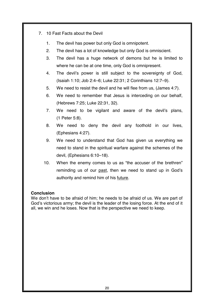- 7. 10 Fast Facts about the Devil
	- 1. The devil has power but only God is omnipotent.
	- 2. The devil has a lot of knowledge but only God is omniscient.
	- 3. The devil has a huge network of demons but he is limited to where he can be at one time, only God is omnipresent.
	- 4. The devil's power is still subject to the sovereignty of God, (Isaiah 1:10; Job 2:4–6; Luke 22:31; 2 Corinthians 12:7–9).
	- 5. We need to resist the devil and he will flee from us, (James 4:7).
	- 6. We need to remember that Jesus is interceding on our behalf, (Hebrews 7:25; Luke 22:31, 32).
	- 7. We need to be vigilant and aware of the devil's plans, (1 Peter 5:8).
	- 8. We need to deny the devil any foothold in our lives, (Ephesians 4:27).
	- 9. We need to understand that God has given us everything we need to stand in the spiritual warfare against the schemes of the devil, (Ephesians 6:10–18).
	- 10. When the enemy comes to us as "the accuser of the brethren" reminding us of our past, then we need to stand up in God's authority and remind him of his future.

#### **Conclusion**

We don't have to be afraid of him; he needs to be afraid of us. We are part of God's victorious army; the devil is the leader of the losing force. At the end of it all, we win and he loses. Now that is the perspective we need to keep.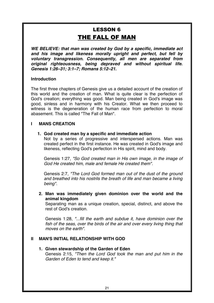### **LESSON 6** THE FALL OF MAN

*WE BELIEVE: that man was created by God by a specific, immediate act and his image and likeness morally upright and perfect, but fell by voluntary transgression. Consequently, all men are separated from original righteousness, being depraved and without spiritual life. Genesis 1:26–31; 3:1–7; Romans 5:12–21.* 

#### **Introduction**

The first three chapters of Genesis give us a detailed account of the creation of this world and the creation of man. What is quite clear is the perfection of God's creation; everything was good. Man being created in God's image was good, sinless and in harmony with his Creator. What we then proceed to witness is the degeneration of the human race from perfection to moral abasement. This is called "The Fall of Man".

#### **I MANS CREATION**

#### **1. God created man by a specific and immediate action**

Not by a series of progressive and interspersed actions. Man was created perfect in the first instance. He was created in God's image and likeness, reflecting God's perfection in His spirit, mind and body.

Genesis 1:27, *"So God created man in His own image, in the image of God He created him, male and female He created them".*

Genesis 2:7, *"The Lord God formed man out of the dust of the ground and breathed into his nostrils the breath of life and man became a living being".*

**2. Man was immediately given dominion over the world and the animal kingdom**

Separating man as a unique creation, special, distinct, and above the rest of God's creation.

Genesis 1:28, *"...fill the earth and subdue it, have dominion over the fish of the seas, over the birds of the air and over every living thing that moves on the earth".*

#### **II MAN'S INITIAL RELATIONSHIP WITH GOD**

**1. Given stewardship of the Garden of Eden** Genesis 2:15, *"Then the Lord God took the man and put him in the Garden of Eden to tend and keep it."*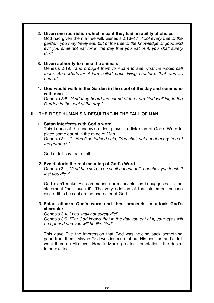**2. Given one restriction which meant they had an ability of choice**

God had given them a free will. Genesis 2:16–17, *"...of every tree of the garden, you may freely eat, but of the tree of the knowledge of good and evil you shall not eat for in the day that you eat of it, you shall surely die."*

#### **3. Given authority to name the animals**

Genesis 2:19, *"and brought them to Adam to see what he would call them. And whatever Adam called each living creature, that was its name."*

**4. God would walk in the Garden in the cool of the day and commune with man** 

Genesis 3:8, *"And they heard the sound of the Lord God walking in the Garden in the cool of the day."*

#### **III THE FIRST HUMAN SIN RESULTING IN THE FALL OF MAN**

#### **1. Satan interferes with God's word**

This is one of the enemy's oldest ploys—a distortion of God's Word to place some doubt in the mind of Man.

Genesis 3:1, *"...Has God indeed said, 'You shall not eat of every tree of the garden?'"*

God didn't say that at all.

#### **2. Eve distorts the real meaning of God's Word**

Genesis 3:1, *"God has said, 'You shall not eat of it, nor shall you touch it lest you die.'"*

God didn't make His commands unreasonable, as is suggested in the statement "nor touch it". The very addition of that statement causes discredit to be cast on the character of God.

**3. Satan attacks God's word and then proceeds to attack God's character**

Genesis 3:4, *"You shall not surely die".* Genesis 3:5, *"For God knows that in the day you eat of it, your eyes will be opened and you will be like God".*

This gave Eve the impression that God was holding back something good from them. Maybe God was insecure about His position and didn't want them on His level. Here is Man's greatest temptation—the desire to be exalted.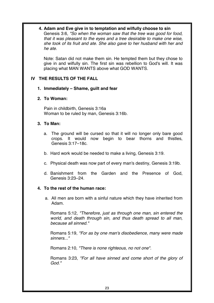#### **4. Adam and Eve give in to temptation and wilfully choose to sin**

Genesis 3:6, *"So when the woman saw that the tree was good for food, that it was pleasant to the eyes and a tree desirable to make one wise, she took of its fruit and ate. She also gave to her husband with her and he ate.*

Note: Satan did not make them sin. He tempted them but they chose to give in and wilfully sin. The first sin was rebellion to God's will. It was placing what MAN WANTS above what GOD WANTS.

#### **IV THE RESULTS OF THE FALL**

#### **1. Immediately – Shame, guilt and fear**

#### **2. To Woman:**

Pain in childbirth, Genesis 3:16a Woman to be ruled by man, Genesis 3:16b.

#### **3. To Man:**

- a. The ground will be cursed so that it will no longer only bare good crops. It would now begin to bear thorns and thistles, Genesis 3:17–18c.
- b. Hard work would be needed to make a living, Genesis 3:19.
- c. Physical death was now part of every man's destiny, Genesis 3:19b.
- d. Banishment from the Garden and the Presence of God, Genesis 3:23–24.

#### **4. To the rest of the human race:**

a. All men are born with a sinful nature which they have inherited from Adam.

Romans 5:12, *"Therefore, just as through one man, sin entered the world, and death through sin, and thus death spread to all man, because all sinned."*

Romans 5:19, *"For as by one man's disobedience, many were made sinners..."*

Romans 2:10, *"There is none righteous, no not one".*

Romans 3:23, *"For all have sinned and come short of the glory of God."*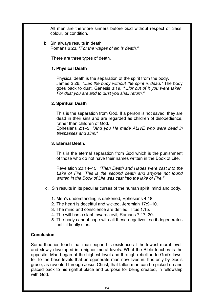All men are therefore sinners before God without respect of class, colour, or condition.

b. Sin always results in death. Romans 6:23, *"For the wages of sin is death."*

There are three types of death.

#### **1. Physical Death**

Physical death is the separation of the spirit from the body. James 2:26, *"...as the body without the spirit is dead."* The body goes back to dust. Genesis 3:19, *"...for out of it you were taken. For dust you are and to dust you shall return."*

#### **2. Spiritual Death**

This is the separation from God. If a person is not saved, they are dead in their sins and are regarded as children of disobedience, rather than children of God.

Ephesians 2:1–3, *"And you He made ALIVE who were dead in trespasses and sins."*

#### **3. Eternal Death.**

This is the eternal separation from God which is the punishment of those who do not have their names written in the Book of Life.

Revelation 20:14–15, "Then Death and Hades were cast into the Lake of Fire. This is the second death and anyone not found *written in the Book of Life was cast into the lake of Fire."*

- c. Sin results in its peculiar curses of the human spirit, mind and body.
	- 1. Men's understanding is darkened, Ephesians 4:18.
	- 2. The heart is deceitful and wicked, Jeremiah 17:9–10.
	- 3. The mind and conscience are defiled, Titus 1:15.
	- 4. The will has a slant towards evil, Romans 7:17–20.
	- 5. The body cannot cope with all these negatives, so it degenerates until it finally dies.

#### **Conclusion**

Some theories teach that man began his existence at the lowest moral level, and slowly developed into higher moral levels. What the Bible teaches is the opposite. Man began at the highest level and through rebellion to God's laws, fell to the base levels that unregenerate man now lives in. It is only by God's grace, as revealed through Jesus Christ, that fallen man can be picked up and placed back to his rightful place and purpose for being created; in fellowship with God.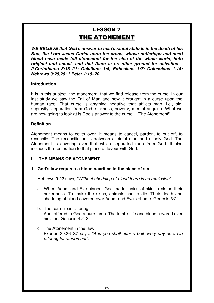## **LESSON 7** THE ATONEMENT

*WE BELIEVE that God's answer to man's sinful state is in the death of his Son, the Lord Jesus Christ upon the cross, whose sufferings and shed blood have made full atonement for the sins of the whole world, both original and actual, and that there is no other ground for salvation— 2 Corinthians 5:18–21; Galatians 1:4, Ephesians 1:7; Colossians 1:14; Hebrews 9:25,26; 1 Peter 1:19–20.* 

#### **Introduction**

It is in this subject, the atonement, that we find release from the curse. In our last study we saw the Fall of Man and how it brought in a curse upon the human race. That curse is anything negative that afflicts man, i.e., sin, depravity, separation from God, sickness, poverty, mental anguish. What we are now going to look at is God's answer to the curse—"The Atonement".

#### **Definition**

Atonement means to cover over. It means to cancel, pardon, to put off, to reconcile. The reconciliation is between a sinful man and a holy God. The Atonement is covering over that which separated man from God. It also includes the restoration to that place of favour with God.

#### **I THE MEANS OF ATONEMENT**

#### **1. God's law requires a blood sacrifice in the place of sin**

Hebrews 9:22 says, *"Without shedding of blood there is no remission".*

- a. When Adam and Eve sinned, God made tunics of skin to clothe their nakedness. To make the skins, animals had to die. Their death and shedding of blood covered over Adam and Eve's shame. Genesis 3:21.
- b. The correct sin offering. Abel offered to God a pure lamb. The lamb's life and blood covered over his sins. Genesis 4:2–3.
- c. The Atonement in the law. Exodus 29:36–37 says, *"And you shall offer a bull every day as a sin offering for atonement".*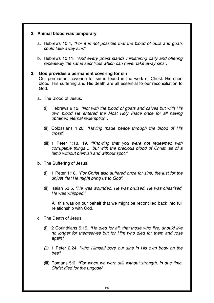#### **2. Animal blood was temporary**

- a. Hebrews 10:4, *"For it is not possible that the blood of bulls and goats could take away sins".*
- b. Hebrews 10:11, *"And every priest stands ministering daily and offering repeatedly the same sacrifices which can never take away sins".*

#### **3. God provides a permanent covering for sin**

Our permanent covering for sin is found in the work of Christ. His shed blood, His suffering and His death are all essential to our reconciliation to God.

- a. The Blood of Jesus.
	- (i) Hebrews 9:12, *"Not with the blood of goats and calves but with His own blood He entered the Most Holy Place once for all having obtained eternal redemption".*
	- (ii) Colossians 1:20, *"Having made peace through the blood of His cross".*
	- (iii) 1 Peter 1:18, 19, *"Knowing that you were not redeemed with corruptible things ... but with the precious blood of Christ, as of a lamb without blemish and without spot."*
- b. The Suffering of Jesus.
	- (i) 1 Peter 1:18*, "For Christ also suffered once for sins, the just for the unjust that He might bring us to God".*
	- (ii) Isaiah 53:5*, "He was wounded, He was bruised, He was chastised, He was whipped."*

All this was on our behalf that we might be reconciled back into full relationship with God.

- c. The Death of Jesus.
	- (i) 2 Corinthians 5:15, *"He died for all, that those who live, should live no longer for themselves but for Him who died for them and rose again".*
	- *(ii)* 1 Peter 2:24, *"who Himself bore our sins in His own body on the tree".*
	- (iii) Romans 5:6, *"For when we were still without strength, in due time, Christ died for the ungodly*".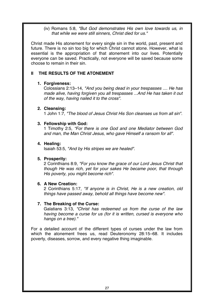(iv) Romans 5:8, *"But God demonstrates His own love towards us, in that while we were still sinners, Christ died for us."*

Christ made His atonement for every single sin in the world, past, present and future. There is no sin too big for which Christ cannot atone. However, what is essential is the appropriation of that atonement into our lives. Potentially everyone can be saved. Practically, not everyone will be saved because some choose to remain in their sin.

#### **II THE RESULTS OF THE ATONEMENT**

#### **1. Forgiveness:**

Colossians 2:13–14, *"And you being dead in your trespasses .... He has made alive, having forgiven you all trespasses ...And He has taken it out of the way, having nailed it to the cross".*

#### **2. Cleansing:**

1 John 1:7, *"The blood of Jesus Christ His Son cleanses us from all sin".*

#### **3. Fellowship with God:**

1 Timothy 2:5, *"For there is one God and one Mediator between God and man, the Man Christ Jesus, who gave Himself a ransom for all".* 

#### **4. Healing:**

Isaiah 53:5, *"And by His stripes we are healed".*

#### **5. Prosperity:**

2 Corinthians 8:9, *"For you know the grace of our Lord Jesus Christ that though He was rich, yet for your sakes He became poor, that through His poverty, you might become rich".*

#### **6. A New Creation:**

2 Corinthians 5:17, *"If anyone is in Christ, He is a new creation, old things have passed away, behold all things have become new".*

#### **7. The Breaking of the Curse:**

Galatians 3:13, *"Christ has redeemed us from the curse of the law having become a curse for us (for it is written, cursed is everyone who hangs on a tree)."*

For a detailed account of the different types of curses under the law from which the atonement frees us, read Deuteronomy 28:15–68. It includes poverty, diseases, sorrow, and every negative thing imaginable.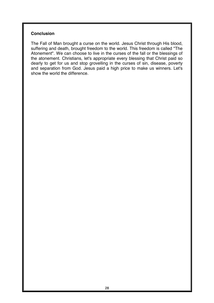#### **Conclusion**

The Fall of Man brought a curse on the world. Jesus Christ through His blood, suffering and death, brought freedom to the world. This freedom is called "The Atonement". We can choose to live in the curses of the fall or the blessings of the atonement. Christians, let's appropriate every blessing that Christ paid so dearly to get for us and stop grovelling in the curses of sin, disease, poverty and separation from God. Jesus paid a high price to make us winners. Let's show the world the difference.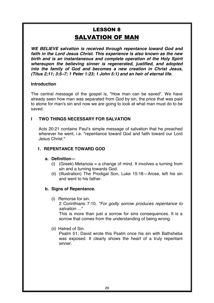## **LESSON 8 SALVATION OF MAN**

*WE BELIEVE salvation is received through repentance toward God and faith in the Lord Jesus Christ. This experience is also known as the new birth and is an instantaneous and complete operation of the Holy Spirit whereupon the believing sinner is regenerated, justified, and adopted into the family of God and becomes a new creation in Christ Jesus, (Titus 2;11; 3:5–7; 1 Peter 1:23; 1 John 5:1) and an heir of eternal life.* 

#### **Introduction**

The central message of the gospel is, "How man can be saved". We have already seen how man was separated from God by sin, the price that was paid to atone for man's sin and now we are going to look at what man must do to be saved.

#### **I TWO THINGS NECESSARY FOR SALVATION**

Acts 20:21 contains Paul's simple message of salvation that he preached wherever he went, i.e. "repentance toward God and faith toward our Lord Jesus Christ<sup>"</sup>

#### **1. REPENTANCE TOWARD GOD**

#### **a. Definition—**

- (i) (Greek) Metanoia = a change of mind. It involves a turning from sin and a turning towards God.
- (ii) (Illustration) The Prodigal Son, Luke 15:18—Arose, left his sin and went to his father.

#### **b. Signs of Repentance.**

(i) Remorse for sin.

2 Corinthians 7:10, *"For godly sorrow produces repentance to salvation ..."*

This is more than just a sorrow for sins consequences. It is a sorrow that comes from the understanding of being wrong.

(ii) Hatred of Sin.

Psalm 51; David wrote this Psalm once his sin with Bathsheba was exposed. It clearly shows the heart of a truly repentant sinner.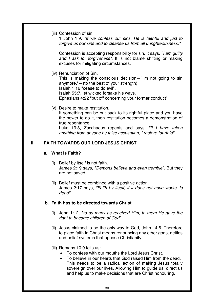(iii) Confession of sin.

1 John 1:9, *"If we confess our sins, He is faithful and just to forgive us our sins and to cleanse us from all unrighteousness."*

Confession is accepting responsibility for sin. It says, *"I am guilty and I ask for forgiveness".* It is not blame shifting or making excuses for mitigating circumstances.

(iv) Renunciation of Sin.

This is making the conscious decision—"I'm not going to sin anymore."—(to the best of your strength). Isaiah 1:16 "cease to do evil".

Isaiah 55:7, let wicked forsake his ways.

Ephesians 4:22 "put off concerning your former conduct".

(v) Desire to make restitution. If something can be put back to its rightful place and you have the power to do it, then restitution becomes a demonstration of true repentance.

Luke 19:8, Zacchaeus repents and says, *"If I have taken anything from anyone by false accusation, I restore fourfold".*

#### **II FAITH TOWARDS OUR LORD JESUS CHRIST**

#### **a. What is Faith?**

- (i) Belief by itself is not faith. James 2:19 says, "Demons believe and even tremble". But they are not saved.
- (ii) Belief must be combined with a positive action. James 2:17 says, *"Faith by itself, if it does not have works, is dead".*

#### **b. Faith has to be directed towards Christ**

- (i) John 1:12, *"to as many as received Him, to them He gave the right to become children of God".*
- (ii) Jesus claimed to be the only way to God, John 14:6. Therefore to place faith in Christ means renouncing any other gods, deities and belief systems that oppose Christianity.
- (iii) Romans 10:9 tells us:
	- To confess with our mouths the Lord Jesus Christ.
	- To believe in our hearts that God raised Him from the dead. This needs to be a radical action of making Jesus totally sovereign over our lives. Allowing Him to guide us, direct us and help us to make decisions that are Christ honouring.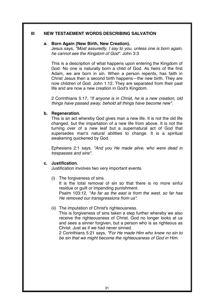#### **III NEW TESTAEMENT WORDS DESCRIBING SALVATION**

#### **a. Born Again (New Birth, New Creation).**

Jesus says, *"Most assuredly, I say to you, unless one is born again, he cannot see the Kingdom of God".* John 3:3

This is a description of what happens upon entering the Kingdom of God. No one is naturally born a child of God. As heirs of the first Adam, we are born in sin. When a person repents, has faith in Christ Jesus then a second birth happens—the new birth. They are now children of God. John 1:12. They are separated from their past life and are now a new creation in God's Kingdom.

2 Corinthians 5:17, *"If anyone is in Christ, he is a new creation, old things have passed away, behold all things have become new".*

#### **b. Regeneration.**

This is an act whereby God gives man a new life. It is not the old life changed, but the impartation of a new life from above. It is not the turning over of a new leaf but a supernatural act of God that supersedes man's natural abilities to change. It is a spiritual awakening quickened by God.

Ephesians 2:1 says, *"And you He made alive, who were dead in trespasses and sins".*

#### **c. Justification.**

Justification involves two very important events.

(i) The forgiveness of sins.

It is the total removal of sin so that there is no more sinful residue or guilt or impending punishment. Psalm 103:12, *"As far as the east is from the west, so far has He removed our transgressions from us".*

(ii) The imputation of Christ's righteousness.

This is forgiveness of sins taken a step further whereby we also receive the righteousness of Christ. God no longer looks at us and sees a sinner forgiven, but a person who is as righteous as Christ. Just as if we had never sinned.

2 Corinthians 5:21 says, *"For He made Him who knew no sin to be sin that we might become the righteousness of God in Him.*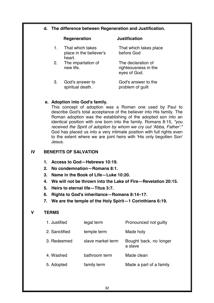#### **d. The difference between Regeneration and Justification.**

#### **Regeneration Justification**  1. That which takes place in the believer's heart. That which takes place before God 2. The impartation of new life. The declaration of righteousness in the eyes of God. 3. God's answer to spiritual death. God's answer to the problem of guilt

#### **e. Adoption into God's family.**

This concept of adoption was a Roman one used by Paul to describe God's total acceptance of the believer into His family. The Roman adoption was the establishing of the adopted son into an identical position with one born into the family. Romans 8:15, *"you received the Spirit of adoption by whom we cry out 'Abba, Father'."*  God has placed us into a very intimate position with full rights even to the extent where we are joint heirs with 'His only begotten Son' Jesus.

#### **IV BENEFITS OF SALVATION**

- **1. Access to God—Hebrews 10:19.**
- **2. No condemnation—Romans 8:1.**
- **3. Name in the Book of Life—Luke 10:20.**
- **4. We will not be thrown into the Lake of Fire—Revelation 20:15.**
- **5. Heirs to eternal life—Titus 3:7.**
- **6. Rights to God's inheritance—Romans 8:14–17.**
- **7. We are the temple of the Holy Spirit—1 Corinthians 6:19.**

#### **V TERMS**

| 1. Justified  | legal term        | Pronounced not guilty             |
|---------------|-------------------|-----------------------------------|
| 2. Sanctified | temple term       | Made holy                         |
| 3. Redeemed   | slave market term | Bought back, no longer<br>a slave |
| 4. Washed     | bathroom term     | Made clean                        |
| 5. Adopted    | family term       | Made a part of a family           |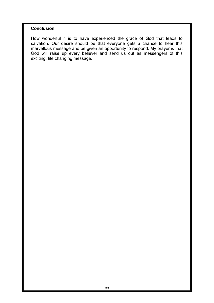#### **Conclusion**

How wonderful it is to have experienced the grace of God that leads to salvation. Our desire should be that everyone gets a chance to hear this marvellous message and be given an opportunity to respond. My prayer is that God will raise up every believer and send us out as messengers of this exciting, life changing message.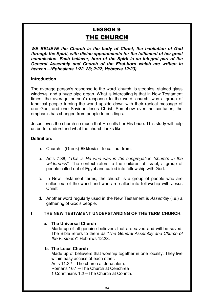## **LESSON 9** THE CHURCH

*WE BELIEVE the Church is the body of Christ, the habitation of God through the Spirit, with divine appointments for the fulfilment of her great commission. Each believer, born of the Spirit is an integral part of the General Assembly and Church of the First-born which are written in heaven—(Ephesians 1:22, 23; 2:22; Hebrews 12:23).* 

#### **Introduction**

The average person's response to the word ʻchurch' is steeples, stained glass windows, and a huge pipe organ. What is interesting is that in New Testament times, the average person's response to the word ʻchurch' was a group of fanatical people turning the world upside down with their radical message of one God, and one Saviour Jesus Christ. Somehow over the centuries, the emphasis has changed from people to buildings.

Jesus loves the church so much that He calls her His bride. This study will help us better understand what the church looks like.

#### **Definition:**

- a. Church—(Greek) **Ekklesia**—to call out from.
- b. Acts 7:38, *"This is He who was in the congregation (church) in the wilderness".* The context refers to the children of Israel, a group of people called out of Egypt and called into fellowship with God.
- c. In New Testament terms, the church is a group of people who are called out of the world and who are called into fellowship with Jesus **Christ**
- d. Another word regularly used in the New Testament is *Assembly* (i.e.) a gathering of God's people.

#### **I THE NEW TESTAMENT UNDERSTANDING OF THE TERM CHURCH.**

#### **a. The Universal Church**

Made up of all genuine believers that are saved and will be saved. The Bible refers to them *as "The General Assembly and Church of the Firstborn"*. Hebrews 12:23.

#### **b. The Local Church**

Made up of believers that worship together in one locality. They live within easy access of each other. Acts 11:22—The church at Jerusalem. Romans 16:1—The Church at Cenchrea 1 Corinthians 1:2—The Church at Corinth.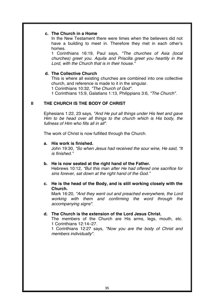#### **c. The Church in a Home**

In the New Testament there were times when the believers did not have a building to meet in. Therefore they met in each other's homes.

1 Corinthians 16:19, Paul says, *"The churches of Asia (local churches) greet you. Aquila and Priscilla greet you heartily in the Lord, with the Church that is in their house."*

#### **d. The Collective Church**

This is where all existing churches are combined into one collective church, and reference is made to it in the singular.

1 Corinthians 10:32, *"The Church of God".*

1 Corinthians 15:9, Galatians 1:13, Philippians 3:6, *"The Church".*

#### **II THE CHURCH IS THE BODY OF CHRIST**

Ephesians 1:22, 23 says, *"And He put all things under His feet and gave Him to be head over all things to the church which is His body, the fullness of Him who fills all in all".*

The work of Christ is now fulfilled through the Church.

#### **a. His work is finished.**

John 19:30, *"So when Jesus had received the sour wine, He said, "It is finished."*

#### **b. He is now seated at the right hand of the Father.**

Hebrews 10:12, *"But this man after He had offered one sacrifice for sins forever, sat down at the right hand of the God."* 

## **c. He is the head of the Body, and is still working closely with the Church.**

Mark 16:20, *"And they went out and preached everywhere, the Lord working with them and confirming the word through the accompanying signs".*

#### **d. The Church is the extension of the Lord Jesus Christ.**

The members of the Church are His arms, legs, mouth, etc. 1 Corinthians 12:14–27.

1 Corinthians 12:27 says, *"Now you are the body of Christ and members individually".*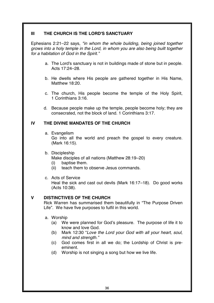## **III THE CHURCH IS THE LORD'S SANCTUARY**

Ephesians 2:21–22 says, *"in whom the whole building, being joined together grows into a holy temple in the Lord, in whom you are also being built together for a habitation of God in the Spirit."* 

- a. The Lord's sanctuary is not in buildings made of stone but in people. Acts 17:24–28.
- b. He dwells where His people are gathered together in His Name, Matthew 18:20.
- c. The church, His people become the temple of the Holy Spirit, 1 Corinthians 3:16.
- d. Because people make up the temple, people become holy; they are consecrated, not the block of land. 1 Corinthians 3:17.

## **IV THE DIVINE MANDATES OF THE CHURCH**

- a. Evangelism Go into all the world and preach the gospel to every creature. (Mark 16:15).
- b. Discipleship

Make disciples of all nations (Matthew 28:19–20)

- (i) baptise them.
- (ii) teach them to observe Jesus commands.
- c. Acts of Service

Heal the sick and cast out devils (Mark 16:17–18). Do good works (Acts 10:38).

## **V DISTINCTIVES OF THE CHURCH**

Rick Warren has summarised them beautifully in "The Purpose Driven Life". We have five purposes to fulfil in this world.

- a. Worship
	- (a) We were planned for God's pleasure. The purpose of life it to know and love God.
	- (b) Mark 12:30 "*Love the Lord your God with all your heart, soul, mind and strength."*
	- (c) God comes first in all we do; the Lordship of Christ is preeminent.
	- (d) Worship is not singing a song but how we live life*.*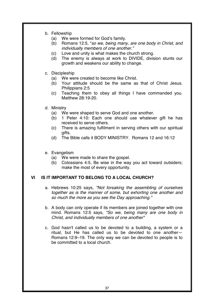- b. Fellowship
	- (a) We were formed for God's family.
	- (b) Romans 12:5, "*so we, being many, are one body in Christ, and individually members of one another."*
	- (c) Love and unity is what makes the church strong.
	- (d) The enemy is always at work to DIVIDE, division stunts our growth and weakens our ability to change.
- c. Discipleship
	- (a) We were created to become like Christ.
	- (b) Your attitude should be the same as that of Christ Jesus. Philippians 2:5
	- (c) Teaching them to obey all things I have commanded you. Matthew 28:19-20.
- d. Ministry
	- (a) We were shaped to serve God and one another.
	- (b) 1 Peter 4:10: Each one should use whatever gift he has received to serve others.
	- (c) There is amazing fulfilment in serving others with our spiritual gifts.
	- (d) The Bible calls it BODY MINISTRY. Romans 12 and 16:12
- e. Evangelism
	- (a) We were made to share the gospel.
	- (b) Colossians 4:5, Be wise in the way you act toward outsiders; make the most of every opportunity*.*

## **VI IS IT IMPORTANT TO BELONG TO A LOCAL CHURCH?**

- a. Hebrews 10:25 says, *"Not forsaking the assembling of ourselves together as is the manner of some, but exhorting one another and*  so much the more as you see the Day approaching."
- b. A body can only operate if its members are joined together with one mind. Romans 12:5 says, *"So we, being many are one body in Christ, and individually members of one another"*
- c. God hasn't called us to be devoted to a building, a system or a ritual, but He has called us to be devoted to one another— Romans 12:9–19. The only way we can be devoted to people is to be committed to a local church.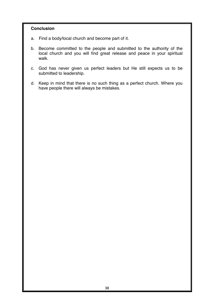## **Conclusion**

- a. Find a body/local church and become part of it.
- b. Become committed to the people and submitted to the authority of the local church and you will find great release and peace in your spiritual walk.
- c. God has never given us perfect leaders but He still expects us to be submitted to leadership.
- d. Keep in mind that there is no such thing as a perfect church. Where you have people there will always be mistakes.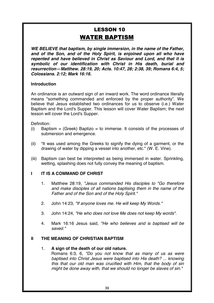# **LESSON 10 WATER BAPTISM**

*WE BELIEVE that baptism, by single immersion, in the name of the Father, and of the Son, and of the Holy Spirit, is enjoined upon all who have repented and have believed in Christ as Saviour and Lord, and that it is symbolic of our identification with Christ in His death, burial and resurrection—Matthew. 28:19, 20; Acts. 10:47, 28; 2:38, 39; Romans 6:4, 5; Colossians. 2:12; Mark 16:16.* 

## **Introduction**

An ordinance is an outward sign of an inward work. The word ordinance literally means "something commanded and enforced by the proper authority". We believe that Jesus established two ordinances for us to observe (i.e.) Water Baptism and the Lord's Supper. This lesson will cover Water Baptism; the next lesson will cover the Lord's Supper.

Definition:

- (i) Baptism  $=$  (Greek) Baptizo  $=$  to immerse. It consists of the processes of submersion and emergence.
- (ii) "It was used among the Greeks to signify the dying of a garment, or the drawing of water by dipping a vessel into another, etc." (W. E. Vine).
- (iii) Baptism can best be interpreted as being immersed in water. Sprinkling, wetting, splashing does not fully convey the meaning of baptism.

## **I** IT IS A COMMAND OF CHRIST

- 1. Matthew 28:19, *"Jesus commanded His disciples to "Go therefore and make disciples of all nations baptising them in the name of the Father and of the Son and of the Holy Spirit."*
- 2. John 14:23, *"If anyone loves me. He will keep My Words."*
- 3. John 14:24, *"He who does not love Me does not keep My words".*
- 4. Mark 16:16 Jesus said, *"He who believes and is baptised will be saved."*

## **II THE MEANING OF CHRISTIAN BAPTISM**

#### 1. **A sign of the death of our old nature.**

Romans 6:3, 6, "Do you not know that as many of us as were *baptised into Christ Jesus were baptised into His death? ... knowing this that our old man was crucified with Him, that the body of sin might be done away with, that we should no longer be slaves of sin."*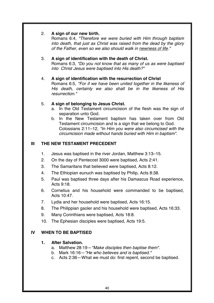## 2. **A sign of our new birth.**

Romans 6:4, *"Therefore we were buried with Him through baptism into death, that just as Christ was raised from the dead by the glory of the Father, even so we also should walk in newness of life."*

## 3. **A sign of identification with the death of Christ.**

Romans 6:3, "Do you not know that as many of us as were baptise*d into Christ Jesus were baptised into His death?"*

## 4. **A sign of identification with the resurrection of Christ**

Romans 6:5, *"For if we have been united together in the likeness of His death, certainly we also shall be in the likeness of His resurrection."*

## 5. **A sign of belonging to Jesus Christ.**

- a. In the Old Testament circumcision of the flesh was the sign of separation unto God.
- b. In the New Testament baptism has taken over from Old Testament circumcision and is a sign that we belong to God. Colossians 2:11–12, *"In Him you were also circumcised with the circumcision made without hands buried with Him in baptism".*

# **III THE NEW TESTAMENT PRECEDENT**

- 1. Jesus was baptised in the river Jordan, Matthew 3:13–15.
- 2. On the day of Pentecost 3000 were baptised, Acts 2:41.
- 3. The Samaritans that believed were baptised, Acts 8:12.
- 4. The Ethiopian eunuch was baptised by Philip, Acts 8:38.
- 5. Paul was baptised three days after his Damascus Road experience, Acts 9:18.
- 6. Cornelius and his household were commanded to be baptised, Acts  $10.47$
- 7. Lydia and her household were baptised, Acts 16:15.
- 8. The Philippian gaoler and his household were baptised, Acts 16:33.
- 9. Many Corinthians were baptised, Acts 18:8.
- 10. The Ephesian disciples were baptised, Acts 19:5.

# **IV WHEN TO BE BAPTISED**

## **1. After Salvation.**

- a. Matthew 28:19—*"Make disciples then baptise them".*
- b. Mark 16:16—*"He who believes and is baptised."*
- c. Acts 2:36—What we must do: first repent, second be baptised.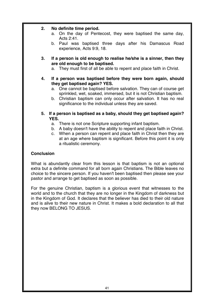## **2. No definite time period.**

- a. On the day of Pentecost, they were baptised the same day, Acts 2:41.
- b. Paul was baptised three days after his Damascus Road experience, Acts 9:9, 18.
- **3. If a person is old enough to realise he/she is a sinner, then they are old enough to be baptised.** 
	- a. They must first of all be able to repent and place faith in Christ.
- **4. If a person was baptised before they were born again, should they get baptised again? YES.** 
	- a. One cannot be baptised before salvation. They can of course get sprinkled, wet, soaked, immersed, but it is not Christian baptism.
	- b. Christian baptism can only occur after salvation. It has no real significance to the individual unless they are saved.
- **5. If a person is baptised as a baby, should they get baptised again? YES.** 
	- a. There is not one Scripture supporting infant baptism.
	- b. A baby doesn't have the ability to repent and place faith in Christ.
	- c. When a person can repent and place faith in Christ then they are at an age where baptism is significant. Before this point it is only a ritualistic ceremony.

## **Conclusion**

What is abundantly clear from this lesson is that baptism is not an optional extra but a definite command for all born again Christians. The Bible leaves no choice to the sincere person. If you haven't been baptised then please see your pastor and arrange to get baptised as soon as possible.

For the genuine Christian, baptism is a glorious event that witnesses to the world and to the church that they are no longer in the Kingdom of darkness but in the Kingdom of God. It declares that the believer has died to their old nature and is alive to their new nature in Christ. It makes a bold declaration to all that they now BELONG TO JESUS.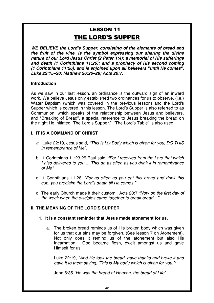# **LESSON 11** THE LORD'S SUPPER

*WE BELIEVE the Lord's Supper, consisting of the elements of bread and the fruit of the vine, is the symbol expressing our sharing the divine nature of our Lord Jesus Christ (2 Peter 1:4); a memorial of His sufferings and death (1 Corinthians 11:26); and a prophecy of His second coming (1 Corinthians 11:26), and is enjoined upon all believers "until He comes". Luke 22:15–20; Matthew 26:26–28; Acts 20:7.* 

## **Introduction**

As we saw in our last lesson, an ordinance is the outward sign of an inward work. We believe Jesus only established two ordinances for us to observe. (i.e.) Water Baptism (which was covered in the previous lesson) and the Lord's Supper which is covered in this lesson. The Lord's Supper is also referred to as Communion, which speaks of the relationship between Jesus and believers, and "Breaking of Bread", a special reference to Jesus breaking the bread on the night He initiated "The Lord's Supper." "The Lord's Table" is also used.

## **I. IT IS A COMMAND OF CHRIST**

- *a.* Luke 22:19, Jesus said, "This is My Body which is given for you, DO THIS *in remembrance of Me".*
- b. 1 Corinthians 11:23,25 Paul said, *"For I received from the Lord that which I also delivered to you ... This do as often as you drink it in remembrance of Me".*
- c. 1 Corinthians 11:26, *"For as often as you eat this bread and drink this* cup, you proclaim the Lord's death till He comes."
- d. The early Church made it their custom. Acts 20:7 *"Now on the first day of the week when the disciples came together to break bread…"*

## **II. THE MEANING OF THE LORD'S SUPPER**

- **1. It is a constant reminder that Jesus made atonement for us.** 
	- a. The broken bread reminds us of His broken body which was given for us that our sins may be forgiven. (See lesson 7 on Atonement). Not only does it remind us of the atonement but also His Incarnation. God became flesh, dwelt amongst us and gave Himself for us.

Luke 22:19, *"And He took the bread, gave thanks and broke it and*  gave it to them saying, ʻThis is My body which is given for you.'"

John 6:35 *"He was the bread of Heaven, the bread of Life"*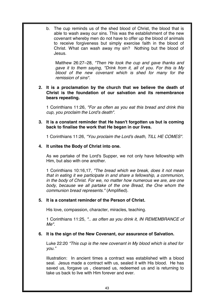b. The cup reminds us of the shed blood of Christ, the blood that is able to wash away our sins. This was the establishment of the new covenant whereby men do not have to offer up the blood of animals to receive forgiveness but simply exercise faith in the blood of Christ. What can wash away my sin? Nothing but the blood of Jesus.

Matthew 26:27–28, *"Then He took the cup and gave thanks and*  gave it to them saying, "Drink from it, all of you. *For this is My blood of the new covenant which is shed for many for the remission of sins".*

#### **2. It is a proclamation by the church that we believe the death of Christ is the foundation of our salvation and its remembrance bears repeating.**

1 Corinthians 11:26, *"For as often as you eat this bread and drink this cup, you proclaim the Lord's death".*

**3. It is a constant reminder that He hasn't forgotten us but is coming back to finalise the work that He began in our lives.** 

1 Corinthians 11:26, *"You proclaim the Lord's death, TILL HE COMES".* 

## **4. It unites the Body of Christ into one.**

As we partake of the Lord's Supper, we not only have fellowship with Him, but also with one another.

1 Corinthians 10:16,17, *"The bread which we break, does it not mean that in eating it we participate in and share a fellowship, a communion, in the body of Christ. For we, no matter how numerous we are, are one body, because we all partake of the one Bread, the One whom the communion bread represents."* (Amplified).

## **5. It is a constant reminder of the Person of Christ.**

His love, compassion, character, miracles, teaching.

1 Corinthians 11:25, *".. as often as you drink it, IN REMEMBRANCE of Me".* 

#### **6. It is the sign of the New Covenant, our assurance of Salvation.**

Luke 22:20 *"This cup is the new covenant in My blood which is shed for you."* 

Illustration: In ancient times a contract was established with a blood seal. Jesus made a contract with us, sealed it with His blood. He has saved us, forgave us , cleansed us, redeemed us and is returning to take us back to live with Him forever and ever.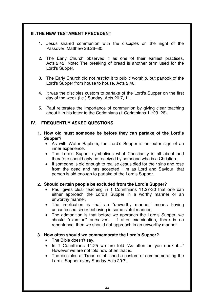## **III. THE NEW TESTAMENT PRECEDENT**

- 1. Jesus shared communion with the disciples on the night of the Passover, Matthew 26:26–30.
- 2. The Early Church observed it as one of their earliest practises, Acts 2:42. Note: The breaking of bread is another term used for the Lord's Supper.
- 3. The Early Church did not restrict it to public worship, but partook of the Lord's Supper from house to house, Acts 2:46.
- 4. It was the disciples custom to partake of the Lord's Supper on the first day of the week (i.e.) Sunday, Acts 20:7, 11.
- 5. Paul reiterates the importance of communion by giving clear teaching about it in his letter to the Corinthians (1 Corinthians 11:23–26).

## **IV. FREQUENTLY ASKED QUESTIONS**

- 1. **How old must someone be before they can partake of the Lord's Supper?** 
	- As with Water Baptism, the Lord's Supper is an outer sign of an inner experience.
	- The Lord's Supper symbolises what Christianity is all about and therefore should only be received by someone who is a Christian.
	- If someone is old enough to realise Jesus died for their sins and rose from the dead and has accepted Him as Lord and Saviour, that person is old enough to partake of the Lord's Supper.

#### 2. **Should certain people be excluded from the Lord's Supper?**

- Paul gives clear teaching in 1 Corinthians 11:27-30 that one can either approach the Lord's Supper in a worthy manner or an unworthy manner.
- The implication is that an "unworthy manner" means having unconfessed sin or behaving in some sinful manner.
- The admonition is that before we approach the Lord's Supper, we should "examine" ourselves. If after examination, there is no repentance, then we should not approach in an unworthy manner.

#### 3. **How often should we commemorate the Lord's Supper?**

- The Bible doesn't say.
- In 1 Corinthians 11:25 we are told "As often as you drink it…" However we are not told how often that is.
- The disciples at Troas established a custom of commemorating the Lord's Supper every Sunday Acts 20:7.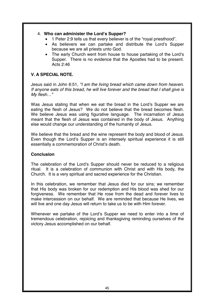## 4. **Who can administer the Lord's Supper?**

- 1 Peter 2:9 tells us that every believer is of the "royal priesthood".
- As believers we can partake and distribute the Lord's Supper because we are all priests unto God.
- The early Church went from house to house partaking of the Lord's Supper. There is no evidence that the Apostles had to be present. Acts 2:46

## **V. A SPECIAL NOTE.**

Jesus said in John 6:51, *"I am the living bread which came down from heaven. If anyone eats of this bread, he will live forever and the bread that I shall give is My flesh…"* 

Was Jesus stating that when we eat the bread in the Lord's Supper we are eating the flesh of Jesus? We do not believe that the bread becomes flesh. We believe Jesus was using figurative language. The incarnation of Jesus meant that the flesh of Jesus was contained in the body of Jesus. Anything else would change our understanding of the humanity of Jesus.

We believe that the bread and the wine represent the body and blood of Jesus. Even though the Lord's Supper is an intensely spiritual experience it is still essentially a commemoration of Christ's death.

#### **Conclusion**

The celebration of the Lord's Supper should never be reduced to a religious ritual. It is a celebration of communion with Christ and with His body, the Church. It is a very spiritual and sacred experience for the Christian.

In this celebration, we remember that Jesus died for our sins; we remember that His body was broken for our redemption and His blood was shed for our forgiveness. We remember that He rose from the dead and forever lives to make intercession on our behalf. We are reminded that because He lives, we will live and one day Jesus will return to take us to be with Him forever.

Whenever we partake of the Lord's Supper we need to enter into a time of tremendous celebration, rejoicing and thanksgiving reminding ourselves of the victory Jesus accomplished on our behalf.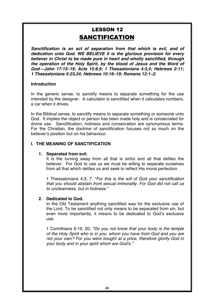# **LESSON 12 SANCTIFICATION**

*Sanctification is an act of separation from that which is evil, and of dedication unto God. WE BELIEVE it is the glorious provision for every believer in Christ to be made pure in heart and wholly sanctified, through the operation of the Holy Spirit, by the blood of Jesus and the Word of God—John 17:15–19; Acts 15:8,9; 1 Thessalonians 4:3,4; Hebrews 2:11; 1 Thessalonians 5:23,24; Hebrews 10:16–19; Romans 12:1–2.* 

#### **Introduction**

In the generic sense, to sanctify means to separate something for the use intended by the designer. A calculator is sanctified when it calculates numbers, a car when it drives.

In the Biblical sense, to sanctify means to separate something or someone unto God. It implies the object or person has been made holy and is consecrated for divine use. Sanctification, holiness and consecration are synonymous terms. For the Christian, the doctrine of sanctification focuses not so much on the believer's position but on his behaviour.

## **I. THE MEANING OF SANCTIFICATION**

#### **1. Separated from evil.**

It is the turning away from all that is sinful and all that defiles the believer. For God to use us we must be willing to separate ourselves from all that which defiles us and seek to reflect His moral perfection.

1 Thessalonians 4:3, 7, "*For this is the will of God your sanctification that you should abstain from sexual immorality. For God did not call us to uncleanness, but in holiness."*

#### **2. Dedicated to God.**

In the Old Testament anything sanctified was for the exclusive use of the Lord. To be sanctified not only means to be separated from sin, but even more importantly, it means to be dedicated to God's exclusive use.

1 Corinthians 6:19, 20, "Do you not know that your body is the temple *of the Holy Spirit who is in you, whom you have from God and you are not your own? For you were bought at a price, therefore glorify God in your body and in your spirit which are God's."*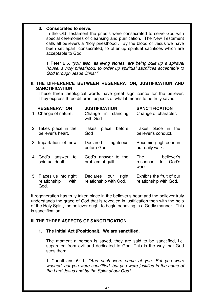## **3. Consecrated to serve.**

In the Old Testament the priests were consecrated to serve God with special ceremonies of cleansing and purification. The New Testament calls all believers a "holy priesthood". By the blood of Jesus we have been set apart, consecrated, to offer up spiritual sacrifices which are acceptable to God.

1 Peter 2:5, *"you also, as living stones, are being built up a spiritual house, a holy priesthood, to order up spiritual sacrifices acceptable to God through Jesus Christ."* 

## **II. THE DIFFERENCE BETWEEN REGENERATION, JUSTIFICATION AND SANCTIFICATION**

These three theological words have great significance for the believer. They express three different aspects of what it means to be truly saved.

| <b>REGENERATION</b><br>1. Change of nature.             | <b>JUSTIFICATION</b><br>Change in standing<br>with God | <b>SANCTIFICATION</b><br>Change of character.         |
|---------------------------------------------------------|--------------------------------------------------------|-------------------------------------------------------|
| 2. Takes place in the<br>believer's heart.              | before<br>Takes<br>place<br>God                        | Takes place in<br>the<br>believer's conduct.          |
| 3. Impartation of new<br>life.                          | righteous<br>Declared<br>before God.                   | Becoming righteous in<br>our daily walk.              |
| 4. God's<br>answer<br>to<br>spiritual death.            | God's answer to the<br>problem of guilt.               | believer's<br>The<br>God's<br>to<br>response<br>work. |
| 5. Places us into right<br>relationship<br>with<br>God. | Declares<br>right<br>our<br>relationship with God.     | Exhibits the fruit of our<br>relationship with God.   |

If regeneration has truly taken place in the believer's heart and the believer truly understands the grace of God that is revealed in justification then with the help of the Holy Spirit, the believer ought to begin behaving in a Godly manner. This is sanctification.

#### **III. THE THREE ASPECTS OF SANCTIFICATION**

#### **1. The Initial Act (Positional). We are sanctified.**

The moment a person is saved, they are said to be sanctified, i.e. separated from evil and dedicated to God. This is the way that God sees them.

1 Corinthians 6:11, *"And such were some of you. But you were washed, but you were sanctified, but you were justified in the name of the Lord Jesus and by the Spirit of our God".*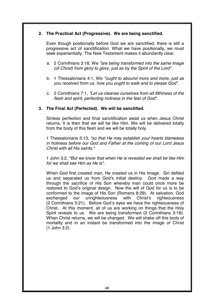## **2. The Practical Act (Progressive). We are being sanctified.**

Even though positionally before God we are sanctified, there is still a progressive act of sanctification. What we have positionally, we must seek experientially. The New Testament makes it abundantly clear.

- a. 2 Corinthians 3:18, We *"are being transformed into the same image (of Christ) from glory to glory, just as by the Spirit of the Lord".*
- b. 1 Thessalonians 4:1, We *"ought to abound more and more, just as you received from us, how you ought to walk and to please God".*
- c. 2 Corinthians 7:1, *"Let us cleanse ourselves from all filthiness of the flesh and spirit, perfecting holiness in the fear of God".*

#### **3. The Final Act (Perfected). We will be sanctified.**

Sinless perfection and final sanctification await us when Jesus Christ returns. It is then that we will be like Him. We will be delivered totally from the body of this flesh and we will be totally holy.

1 Thessalonians 3:13, *"so that He may establish your hearts blameless in holiness before our God and Father at the coming of our Lord Jesus Christ with all His saints."*

1 John 3:2, *"But we know that when He is revealed we shall be like Him for we shall see Him as He is".* 

When God first created man, He created us in His Image. Sin defiled us and separated us from God's initial destiny. God made a way through the sacrifice of His Son whereby man could once more be restored to God's original design. Now the will of God for us is to be conformed to the image of His Son (Romans 8:29). At salvation, God exchanged our unrighteousness with Christ's righteousness (2 Corinthians 5:21). Before God's eyes we have the righteousness of Christ. At this moment, all of us are working on things that the Holy Spirit reveals to us. We are being transformed (2 Corinthians 3:18). When Christ returns, we will be changed. We will shake off this body of mortality and in an instant be transformed into the image of Christ (1 John 3:2)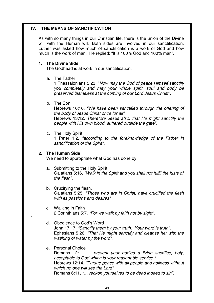## **IV. THE MEANS OF SANCTIFICATION**

As with so many things in our Christian life, there is the union of the Divine will with the Human will. Both sides are involved in our sanctification. Luther was asked how much of sanctification is a work of God and how much is the work of man. He replied: "It is 100% God and 100% man".

## **1. The Divine Side**

The Godhead is at work in our sanctification.

a. The Father

1 Thessalonians 5:23, "*Now may the God of peace Himself sanctify you completely and may your whole spirit, soul and body be preserved blameless at the coming of our Lord Jesus Christ".*

b. The Son

Hebrews 10:10, *"We have been sanctified through the offering of the body of Jesus Christ once for all".*

Hebrews 13:12, *Therefore Jesus also, that He might sanctify the people with His own blood, suffered outside the gate".*

c. The Holy Spirit

1 Peter 1:2, *"according to the foreknowledge of the Father in sanctification of the Spirit".*

#### **2. The Human Side**

We need to appropriate what God has done by:

- a. Submitting to the Holy Spirit Galatians 5:16, *"Walk in the Spirit and you shall not fulfil the lusts of the flesh".*
- b. Crucifying the flesh. Galatians 5:25, *"Those who are in Christ, have crucified the flesh with its passions and desires".*
- c. Walking in Faith 2 Corinthians 5:7, *"For we walk by faith not by sight".*
- d. Obedience to God's Word John 17:17, *"Sanctify them by your truth. Your word is truth".* Ephesians 5:26, *"That He might sanctify and cleanse her with the washing of water by the word".*

## e. Personal Choice

`

Romans 12:1, *"… present your bodies a living sacrifice, holy, acceptable to God which is your reasonable service ".*  Hebrews 12:14, *"Pursue peace with all people and holiness without which no one will see the Lord".*  Romans 6:11, *"… reckon yourselves to be dead indeed to sin".*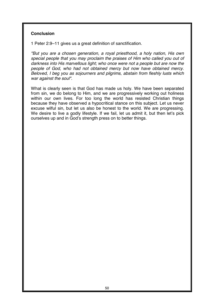#### **Conclusion**

1 Peter 2:9–11 gives us a great definition of sanctification.

*"But you are a chosen generation, a royal priesthood, a holy nation, His own special people that you may proclaim the praises of Him who called you out of darkness into His marvellous light; who once were not a people but are now the people of God, who had not obtained mercy but now have obtained mercy. Beloved, I beg you as sojourners and pilgrims, abstain from fleshly lusts which war against the soul".*

What is clearly seen is that God has made us holy. We have been separated from sin, we do belong to Him, and we are progressively working out holiness within our own lives. For too long the world has resisted Christian things because they have observed a hypocritical stance on this subject. Let us never excuse wilful sin, but let us also be honest to the world. We are progressing. We desire to live a godly lifestyle. If we fail, let us admit it, but then let's pick ourselves up and in God's strength press on to better things.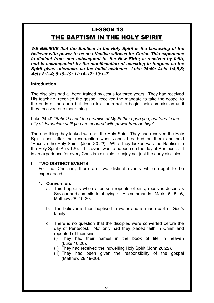# **LESSON 13** THE BAPTISM IN THE HOLY SPIRIT

*WE BELIEVE that the Baptism in the Holy Spirit is the bestowing of the believer with power to be an effective witness for Christ. This experience is distinct from, and subsequent to, the New Birth; is received by faith, and is accompanied by the manifestation of speaking in tongues as the Spirit gives utterance, as the initial evidence—Luke 24:49; Acts 1:4,5,8; Acts 2:1–4; 8:15–19; 11:14–17; 19:1–7.* 

## **Introduction**

The disciples had all been trained by Jesus for three years. They had received His teaching, received the gospel, received the mandate to take the gospel to the ends of the earth but Jesus told them not to begin their commission until they received one more thing.

Luke 24:49 *"Behold I sent the promise of My Father upon you; but tarry in the city of Jerusalem until you are endured with power from on high".* 

The one thing they lacked was not the Holy Spirit. They had received the Holy Spirit soon after the resurrection when Jesus breathed on them and said "Receive the Holy Spirit" (John 20:22). What they lacked was the Baptism in the Holy Spirit (Acts 1:5). This event was to happen on the day of Pentecost. It is an experience for every Christian disciple to enjoy not just the early disciples.

#### **I TWO DISTINCT EVENTS**

For the Christian, there are two distinct events which ought to be experienced.

## **1. Conversion.**

- a. This happens when a person repents of sins, receives Jesus as Saviour and commits to obeying all His commands. Mark 16:15-16, Matthew 28: 19-20*.*
- b. The believer is then baptised in water and is made part of God's family*.*
- c. There is no question that the disciples were converted before the day of Pentecost. Not only had they placed faith in Christ and repented of their sins:
	- (i) They had their names in the book of life in heaven (Luke 10:20).
	- (ii) They had received the indwelling Holy Spirit (John 20:22).
	- (iii) They had been given the responsibility of the gospel (Matthew 28:19-20).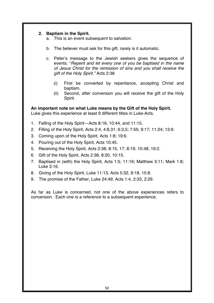## **2. Baptism in the Spirit.**

- a. This is an event subsequent to salvation.
- b. The believer must ask for this gift, rarely is it automatic.
- c. Peter's message to the Jewish seekers gives the sequence of events. "*Repent and let every one of you be baptised in the name of Jesus Christ for the remission of sins and you shall receive the gift of the Holy Spirit."* Acts 2:38
	- (i) First be converted by repentance, accepting Christ and baptism.
	- (ii) Second, after conversion you will receive the gift of the Holy Spirit.

**An important note on what Luke means by the Gift of the Holy Spirit.**  Luke gives this experience at least 9 different titles in Luke-Acts.

- 1. Falling of the Holy Spirit—Acts 8:16, 10:44, and 11:15.
- 2. Filling of the Holy Spirit, Acts 2:4, 4:8,31; 6:3,5; 7:55; 9:17; 11:24; 13:9.
- 3. Coming upon of the Holy Spirit, Acts 1:8; 19:6.
- 4. Pouring out of the Holy Spirit, Acts 10:45.
- 5. Receiving the Holy Spirit, Acts 2:38; 8:15, 17; 8:19; 10:48; 19:2.
- 6. Gift of the Holy Spirit, Acts 2:38, 8:20, 10:15.
- 7. Baptised in (with) the Holy Spirit, Acts 1:5; 11:16; Matthew 3:11; Mark 1:8; Luke 3:16.
- 8. Giving of the Holy Spirit, Luke 11:13, Acts 5:32, 8:18, 15:8.
- 9. The promise of the Father, Luke 24:49, Acts 1:4, 2:33, 2:29.

As far as Luke is concerned, not one of the above experiences refers to conversion. Each one is a reference to a subsequent experience.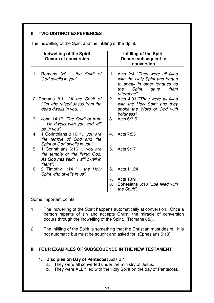# **II TWO DISTINCT EXPERIENCES**

The indwelling of the Spirit and the infilling of the Spirit.

| <b>Indwelling of the Spirit</b><br><b>Occurs at conversion</b>                                                    | Infilling of the Spirit<br><b>Occurs subsequent to</b>                                                                                                          |
|-------------------------------------------------------------------------------------------------------------------|-----------------------------------------------------------------------------------------------------------------------------------------------------------------|
|                                                                                                                   | conversion                                                                                                                                                      |
| Romans 8:9 "the Spirit of<br>1.<br>God dwells in you".                                                            | Acts 2:4 "They were all filled<br>$\mathbf 1$<br>with the Holy Spirit and began<br>to speak in other tongues as<br>Spirit<br>the<br>them<br>gave<br>utterance". |
| 2. Romans 8:11 "If the Spirit of<br>Him who raised Jesus from the<br>dead dwells in you".                         | 2.<br>Acts 4:31 "They were all filled<br>with the Holy Spirit and they<br>spoke the Word of God with<br>boldness".                                              |
| John 14:17 "The Spirit of truth<br>3.<br>He dwells with you and will<br>be in you".                               | Acts 6:3-5<br>3 <sub>1</sub>                                                                                                                                    |
| 1 Corinthians 3:16 " you are<br>4.<br>the temple of God and the<br>Spirit of God dwells in you".                  | Acts 7:55<br>4.                                                                                                                                                 |
| 1 Corinthians 6:16 "you are<br>5.<br>the temple of the living God.<br>As God has said: 'I will dwell in<br>them". | Acts 9:17<br>5.                                                                                                                                                 |
| 2 Timothy 1:14 " the Holy<br>6.<br>Spirit who dwells in us".                                                      | 6.<br>Acts 11.24                                                                                                                                                |
|                                                                                                                   | 7.<br>Acts 13:9                                                                                                                                                 |
|                                                                                                                   | 8.<br>Ephesians 5:18 "be filled with<br>the Spirit".                                                                                                            |

Some important points:

- 1. The indwelling of the Spirit happens automatically at conversion. Once a person repents of sin and accepts Christ, the miracle of conversion occurs through the indwelling of the Spirit. (Romans 8:9).
- 2. The infilling of the Spirit is something that the Christian must desire. It is not automatic but must be sought and asked for. (Ephesians 5:18).

## **III FOUR EXAMPLES OF SUBSEQUENCE IN THE NEW TESTAMENT**

## **1. Disciples on Day of Pentecost** Acts 2:4

- a. They were all converted under the ministry of Jesus.
- b. They were ALL filled with the Holy Spirit on the day of Pentecost.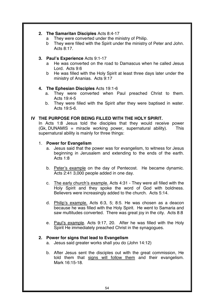## **2. The Samaritan Disciples** Acts 8:4-17

- a They were converted under the ministry of Philip.
- b They were filled with the Spirit under the ministry of Peter and John. Acts 8:17.

## **3. Paul's Experience** Acts 9:1-17

- a He was converted on the road to Damascus when he called Jesus Lord. Acts 9:6
- b He was filled with the Holy Spirit at least three days later under the ministry of Ananias. Acts 9:17

## **4. The Ephesian Disciples** Acts 19:1-6

- a. They were converted when Paul preached Christ to them. Acts 19:4-5
- b. They were filled with the Spirit after they were baptised in water. Acts 19:5-6.

## **IV THE PURPOSE FOR BEING FILLED WITH THE HOLY SPIRIT.**

In Acts 1:8 Jesus told the disciples that they would receive power  $(Gk, DUNAMIS = miracle working power, supernatural ability).$  This supernatural ability is mainly for three things:

#### 1. **Power for Evangelism**

- a. Jesus said that the power was for evangelism, to witness for Jesus beginning in Jerusalem and extending to the ends of the earth. Acts 1:8
- b. Peter's example on the day of Pentecost. He became dynamic. Acts 2:41 3,000 people added in one day.
- c. The early church's example. Acts 4:31 They were all filled with the Holy Spirit and they spoke the word of God with boldness. Believers were increasingly added to the church. Acts 5:14.
- d. Philip's example. Acts 6:3, 5; 8:5. He was chosen as a deacon because he was filled with the Holy Spirit. He went to Samaria and saw multitudes converted. There was great joy in the city. Acts 8:8
- e. Paul's example. Acts 9:17, 20. After he was filled with the Holy Spirit He immediately preached Christ in the synagogues.

#### **2. Power for signs that lead to Evangelism**

- a. Jesus said greater works shall you do (John 14:12)
- b. After Jesus sent the disciples out with the great commission, He told them that signs will follow them and their evangelism. Mark 16:15-18.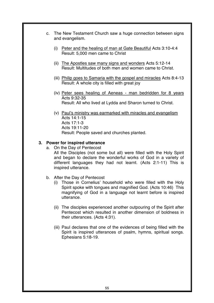- c. The New Testament Church saw a huge connection between signs and evangelism.
	- (i) Peter and the healing of man at Gate Beautiful Acts 3:10-4:4 Result: 5,000 men came to Christ
	- (ii) The Apostles saw many signs and wonders Acts 5:12-14 Result: Multitudes of both men and women came to Christ.
	- (iii) Philip goes to Samaria with the gospel and miracles Acts 8:4-13 Result: A whole city is filled with great joy
	- (iv) Peter sees healing of Aeneas man bedridden for 8 years Acts 9:32-35 Result: All who lived at Lydda and Sharon turned to Christ.
	- (v) Paul's ministry was earmarked with miracles and evangelism Acts 14:1-15 Acts 17:1-3 Acts 19:11-20 Result: People saved and churches planted.

## **3. Power for inspired utterance**

- a. On the Day of Pentecost All the Disciples (not some but all) were filled with the Holy Spirit and began to declare the wonderful works of God in a variety of different languages they had not learnt. (Acts 2:1-11) This is inspired utterance.
- b. After the Day of Pentecost
	- (i) Those in Cornelius' household who were filled with the Holy Spirit spoke with tongues and magnified God. (Acts 10:46) This magnifying of God in a language not learnt before is inspired utterance.
	- (ii) The disciples experienced another outpouring of the Spirit after Pentecost which resulted in another dimension of boldness in their utterances. (Acts 4:31).
	- (iii) Paul declares that one of the evidences of being filled with the Spirit is inspired utterances of psalm, hymns, spiritual songs. Ephesians 5:18-19.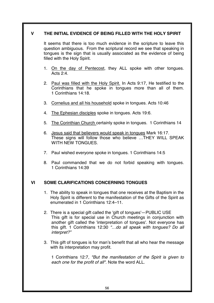## **V THE INITIAL EVIDENCE OF BEING FILLED WITH THE HOLY SPIRIT**

It seems that there is too much evidence in the scripture to leave this question ambiguous. From the scriptural record we see that speaking in tongues is the sign that is usually associated as the evidence of being filled with the Holy Spirit.

- 1. On the day of Pentecost, they ALL spoke with other tongues. Acts 2:4.
- 2. Paul was filled with the Holy Spirit. In Acts 9:17, He testified to the Corinthians that he spoke in tongues more than all of them. 1 Corinthians 14:18.
- 3. Cornelius and all his household spoke in tongues. Acts 10:46
- 4. The Ephesian disciples spoke in tongues. Acts 19:6.
- 5. The Corinthian Church certainly spoke in tongues. 1 Corinthians 14
- 6. Jesus said that believers would speak in tongues Mark 16:17. These signs will follow those who believe …THEY WILL SPEAK WITH NEW TONGUES.
- 7. Paul wished everyone spoke in tongues. 1 Corinthians 14:5
- 8. Paul commanded that we do not forbid speaking with tongues. 1 Corinthians 14:39

## **VI SOME CLARIFICATIONS CONCERNING TONGUES**

- 1. The ability to speak in tongues that one receives at the Baptism in the Holy Spirit is different to the manifestation of the Gifts of the Spirit as enumerated in 1 Corinthians 12:4–11.
- 2. There is a special gift called the 'gift of tongues'—PUBLIC USE This gift is for special use in Church meetings in conjunction with another gift called the 'interpretation of tongues'. Not everyone has this gift. 1 Corinthians 12:30 "…do all speak with tongues? Do all *interpret?"*
- 3. This gift of tongues is for man's benefit that all who hear the message with its interpretation may profit.

1 Corinthians 12:7, *"But the manifestation of the Spirit is given to each one for the profit of all".* Note the word ALL.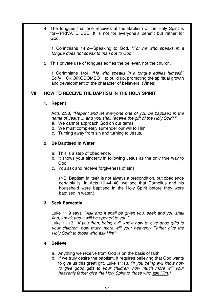4. The tongues that one receives at the Baptism of the Holy Spirit is for—PRIVATE USE. It is not for everyone's benefit but rather for God.

1 Corinthians 14:2—Speaking to God. *"For he who speaks in a tongue does not speak to man but to God."*

5. This private use of tongues edifies the believer, not the church.

1 Corinthians 14:4, *"He who speaks in a tongue edifies himself."* Edify  $=$  Gk OIKODOMEO  $=$  to build up, promoting the spiritual growth and development of the character of believers. (Vines)

# **VII HOW TO RECEIVE THE BAPTISM IN THE HOLY SPIRIT**

## **1. Repent**

Acts 2:38, *"Repent and let everyone one of you be baptised in the name of Jesus ... and you shall receive the gift of the Holy Spirit."*

- a. We cannot approach God on our terms.
- b. We must completely surrender our will to Him
- c. Turning away from sin and turning to Jesus.

# **2. Be Baptised in Water**

- a. This is a step of obedience.
- b. It shows your sincerity in following Jesus as the only true way to God.
- c. You ask and receive forgiveness of sins.

(NB: Baptism in itself is not always a precondition, but obedience certainly is. In Acts 10:44–48, we see that Cornelius and his household were baptised in the Holy Spirit before they were baptised in water.)

## **3. Seek Earnestly**

Luke 11:9 says, *"Ask and it shall be given you, seek and you shall find, knock and it will be opened to you."* 

Luke 11:13, *"If you then, being evil, know how to give good gifts to your children, how much more will your heavenly Father give the Holy Spirit to those who ask Him".*

## **4. Believe**

- a. Anything we receive from God is on the basis of faith.
- b. If we truly desire the baptism, it requires believing that God wants to give us this great gift. Luke 11:13, *"If you being evil know how to give good gifts to your children, how much more will your heavenly father give the Holy Spirit to those who ask Him."*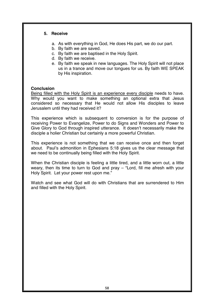## **5. Receive**

- a. As with everything in God, He does His part, we do our part.
- b. By faith we are saved.
- c. By faith we are baptised in the Holy Spirit.
- d. By faith we receive.
- e. By faith we speak in new languages. The Holy Spirit will not place us in a trance and move our tongues for us. By faith WE SPEAK by His inspiration.

## **Conclusion**

Being filled with the Holy Spirit is an experience every disciple needs to have. Why would you want to make something an optional extra that Jesus considered so necessary that He would not allow His disciples to leave Jerusalem until they had received it?

This experience which is subsequent to conversion is for the purpose of receiving Power to Evangelize, Power to do Signs and Wonders and Power to Give Glory to God through inspired utterance. It doesn't necessarily make the disciple a holier Christian but certainly a more powerful Christian.

This experience is not something that we can receive once and then forget about. Paul's admonition in Ephesians 5:18 gives us the clear message that we need to be continually being filled with the Holy Spirit.

When the Christian disciple is feeling a little tired, and a little worn out, a little weary, then its time to turn to God and pray – "Lord, fill me afresh with your Holy Spirit. Let your power rest upon me."

Watch and see what God will do with Christians that are surrendered to Him and filled with the Holy Spirit.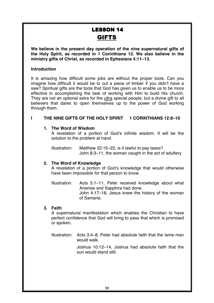# **LESSON 14 GIFTS**

**We believe in the present day operation of the nine supernatural gifts of the Holy Spirit, as recorded in 1 Corinthians 12. We also believe in the ministry gifts of Christ, as recorded in Ephesians 4:11–13.** 

#### **Introduction**

It is amazing how difficult some jobs are without the proper tools. Can you imagine how difficult it would be to cut a piece of timber if you didn't have a saw? Spiritual gifts are the tools that God has given us to enable us to be more effective in accomplishing the task of working with Him to build His church. They are not an optional extra for the ultra special people, but a divine gift to all believers that dares to open themselves up to the power of God working through them.

# **I THE NINE GIFTS OF THE HOLY SPIRIT 1 CORINTHIANS 12:8–10**

## **1. The Word of Wisdom**

A revelation of a portion of God's infinite wisdom. It will be the solution to the problem at hand.

Illustration: Matthew 22:15–22, is it lawful to pay taxes? John 8:3–11, the woman caught in the act of adultery

## **2. The Word of Knowledge**

A revelation of a portion of God's knowledge that would otherwise have been impossible for that person to know.

Illustration: Acts 5:1–11, Peter received knowledge about what Ananias and Sapphira had done. John 4:17–18, Jesus knew the history of the woman of Samaria.

## **3. Faith**

A supernatural manifestation which enables the Christian to have perfect confidence that God will bring to pass that which is promised or spoken.

Illustration: Acts 3:4–8, Peter had absolute faith that the lame man would walk.

> Joshua 10:12–14, Joshua had absolute faith that the sun would stand still.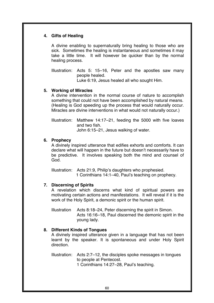## **4. Gifts of Healing**

A divine enabling to supernaturally bring healing to those who are sick. Sometimes the healing is instantaneous and sometimes it may take a little time. It will however be quicker than by the normal healing process.

Illustration: Acts 5: 15–16, Peter and the apostles saw many people healed. Luke 6:19, Jesus healed all who sought Him.

#### **5. Working of Miracles**

A divine intervention in the normal course of nature to accomplish something that could not have been accomplished by natural means. (Healing is God speeding up the process that would naturally occur. Miracles are divine interventions in what would not naturally occur.)

Illustration: Matthew 14:17–21, feeding the 5000 with five loaves and two fish. John 6:15–21, Jesus walking of water.

#### **6. Prophecy**

A divinely inspired utterance that edifies exhorts and comforts. It can declare what will happen in the future but doesn't necessarily have to be predictive. It involves speaking both the mind and counsel of God.

Illustration: Acts 21:9, Philip's daughters who prophesied. 1 Corinthians 14:1–40, Paul's teaching on prophecy.

#### **7. Discerning of Spirits**

A revelation which discerns what kind of spiritual powers are motivating certain actions and manifestations. It will reveal if it is the work of the Holy Spirit, a demonic spirit or the human spirit.

Illustration Acts 8:18–24, Peter discerning the spirit in Simon. Acts 16:16–18. Paul discerned the demonic spirit in the young lady.

## **8. Different Kinds of Tongues**

A divinely inspired utterance given in a language that has not been learnt by the speaker. It is spontaneous and under Holy Spirit direction.

Illustration: Acts 2:7–12, the disciples spoke messages in tongues to people at Pentecost. 1 Corinthians 14:27–28, Paul's teaching.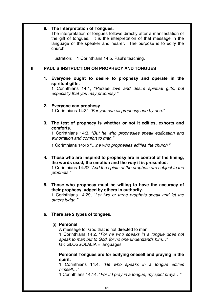#### **9. The Interpretation of Tongues.**

The interpretation of tongues follows directly after a manifestation of the gift of tongues. It is the interpretation of that message in the language of the speaker and hearer. The purpose is to edify the church.

Illustration: 1 Corinthians 14:5, Paul's teaching.

## **II PAUL'S INSTRUCTION ON PROPHECY AND TONGUES**

## **1. Everyone ought to desire to prophesy and operate in the spiritual gifts.**

1 Corinthians 14:1, "*Pursue love and desire spiritual gifts, but especially that you may prophesy."*

#### **2. Everyone can prophesy**

1 Corinthians 14:31 *"For you can all prophesy one by one."* 

**3. The test of prophecy is whether or not it edifies, exhorts and comforts.** 

1 Corinthians 14:3, "*But he who prophesies speak edification and exhortation and comfort to man."* 

1 Corinthians 14:4b "*…he who prophesies edifies the church."* 

- **4. Those who are inspired to prophesy are in control of the timing, the words used, the emotion and the way it is presented.**  1 Corinthians 14:*32 "And the spirits of the prophets are subject to the prophets."*
- **5. Those who prophesy must be willing to have the accuracy of their prophecy judged by others in authority.**

1 Corinthians 14:29, "*Let two or three prophets speak and let the others judge."* 

#### **6. There are 2 types of tongues.**

#### (i) **Personal**

A message for God that is not directed to man. 1 Corinthians 14:2, "*For he who speaks in a tongue does not speak to man but to God, for no one understands him…"*  GK GLOSSOLALIA = languages.

#### **Personal Tongues are for edifying oneself and praying in the spirit.**

1 Corinthians 14:4, *"He who speaks in a tongue edifies himself…"*

1 Corinthians 14:14, "*For if I pray in a tongue, my spirit prays…"*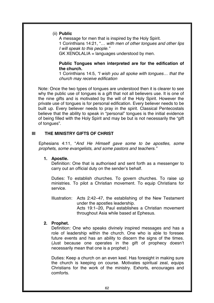#### (ii) **Public**

A message for men that is inspired by the Holy Spirit. 1 Corinthians 14:21, "*… with men of other tongues and other lips I will speak to this people."*   $GK$  XENOLALIA = languages understood by men.

#### **Public Tongues when interpreted are for the edification of the church.**

1 Corinthians 14:5, *"I wish you all spoke with tongues… that the church may receive edification* 

Note: Once the two types of tongues are understood then it is clearer to see why the public use of tongues is a gift that not all believers use. It is one of the nine gifts and is motivated by the will of the Holy Spirit. However the private use of tongues is for personal edification. Every believer needs to be built up. Every believer needs to pray in the spirit. Classical Pentecostals believe that the ability to speak in "personal" tongues is the initial evidence of being filled with the Holy Spirit and may be but is not necessarily the "gift of tongues".

## **III THE MINISTRY GIFTS OF CHRIST**

Ephesians 4:11, "*And He Himself gave some to be apostles, some prophets, some evangelists, and some pastors and teachers."*

#### **1. Apostle.**

Definition: One that is authorised and sent forth as a messenger to carry out an official duty on the sender's behalf.

Duties: To establish churches. To govern churches. To raise up ministries. To pilot a Christian movement. To equip Christians for service.

Illustration: Acts 2:42–47, the establishing of the New Testament under the apostles leadership. Acts 19:1–20, Paul establishes a Christian movement throughout Asia while based at Ephesus.

#### **2. Prophet.**

Definition: One who speaks divinely inspired messages and has a role of leadership within the church. One who is able to foresee future events and has an ability to discern the signs of the times. (Just because one operates in the gift of prophecy doesn't necessarily mean that one is a prophet.)

Duties: Keep a church on an even keel. Has foresight in making sure the church is keeping on course. Motivates spiritual zeal, equips Christians for the work of the ministry. Exhorts, encourages and comforts.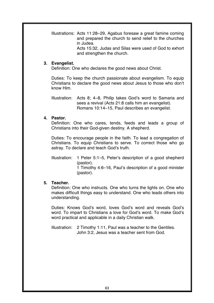Illustrations: Acts 11:28–29, Agabus foresaw a great famine coming and prepared the church to send relief to the churches in Judea.

Acts 15:32, Judas and Silas were used of God to exhort and strengthen the church.

#### **3. Evangelist.**

Definition: One who declares the good news about Christ.

Duties: To keep the church passionate about evangelism. To equip Christians to declare the good news about Jesus to those who don't know Him.

Illustration: Acts 8; 4–8, Philip takes God's word to Samaria and sees a revival (Acts 21:8 calls him an evangelist). Romans 10:14–15, Paul describes an evangelist.

## **4. Pastor.**

Definition: One who cares, tends, feeds and leads a group of Christians into their God-given destiny. A shepherd.

Duties: To encourage people in the faith. To lead a congregation of Christians. To equip Christians to serve. To correct those who go astray. To declare and teach God's truth.

Illustration: 1 Peter 5:1–5, Peter's description of a good shepherd (pastor). 1 Timothy 4:6–16, Paul's description of a good minister (pastor).

## **5. Teacher.**

Definition: One who instructs. One who turns the lights on. One who makes difficult things easy to understand. One who leads others into understanding.

Duties: Knows God's word, loves God's word and reveals God's word. To impart to Christians a love for God's word. To make God's word practical and applicable in a daily Christian walk.

Illustration: 2 Timothy 1:11, Paul was a teacher to the Gentiles. John 3:2, Jesus was a teacher sent from God.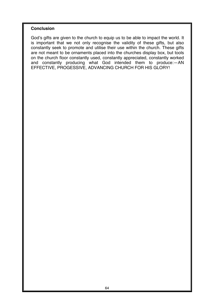#### **Conclusion**

God's gifts are given to the church to equip us to be able to impact the world. It is important that we not only recognise the validity of these gifts, but also constantly seek to promote and utilise their use within the church. These gifts are not meant to be ornaments placed into the churches display box, but tools on the church floor constantly used, constantly appreciated, constantly worked and constantly producing what God intended them to produce:—AN EFFECTIVE, PROGESSIVE, ADVANCING CHURCH FOR HIS GLORY!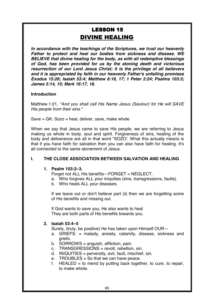# **LESSON 15 DIVINE HEALING**

*In accordance with the teachings of the Scriptures, we trust our heavenly Father to protect and heal our bodies from sickness and disease. WE BELIEVE that divine healing for the body, as with all redemptive blessings of God, has been provided for us by the atoning death and victorious resurrection of our Lord Jesus Christ; it is the privilege of all believers and it is appropriated by faith in our heavenly Father's unfailing promises Exodus 15:26; Isaiah 53:4; Matthew 8:16, 17; 1 Peter 2:24; Psalms 103:3; James 5:14, 15; Mark 16:17, 18.* 

## **Introduction**

Matthew.1:21, *"And you shall call His Name Jesus (Saviour) for He will SAVE His people from their sins."* 

Save = GK: Sozo = heal, deliver, save, make whole

When we say that Jesus came to save His people, we are referring to Jesus making us whole in body, soul and spirit. Forgiveness of sins, healing of the body and deliverance are all in that word "SOZO'. What this actually means is that if you have faith for salvation then you can also have faith for healing. It's all connected to the same atonement of Jesus.

## **I. THE CLOSE ASSOCIATION BETWEEN SALVATION AND HEALING**

#### **1. Psalm 103:2–3.**

Forget not ALL His benefits—FORGET = NEGLECT.

- a. Who forgives ALL your iniquities (sins, transgressions, faults).
- b. Who heals ALL your diseases.

If we leave out or don't believe part (ii) then we are forgetting some of His benefits and missing out.

If God wants to save you, He also wants to heal They are both parts of His benefits towards you.

#### **2. Isaiah 53:4–5**

Surely, (truly, be positive) He has taken upon Himself OUR—

- a. GRIEFS. = malady, anxiety, calamity, disease, sickness and griefs.
- b. SORROWS = anguish, affliction, pain.
- c. TRANSGRESSIONS = revolt, rebellion, sin.
- d. INIQUITIES = perversity, evil, fault, mischief, sin.
- e. TROUBLES = So that we can have peace.
- f. HEALED = to mend by putting back together, to cure, to repair, to make whole.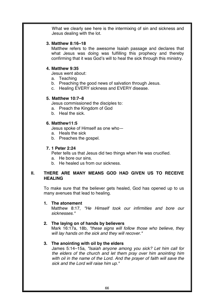What we clearly see here is the intermixing of sin and sickness and Jesus dealing with the lot.

## **3. Matthew 8:16–18**

Matthew refers to the awesome Isaiah passage and declares that what Jesus was doing was fulfilling this prophecy and thereby confirming that it was God's will to heal the sick through this ministry.

# **4. Matthew 9:35**

Jesus went about:

- a. Teaching
- b. Preaching the good news of salvation through Jesus.
- c. Healing EVERY sickness and EVERY disease.

# **5. Matthew 10:7–8**

Jesus commissioned the disciples to:

- a. Preach the Kingdom of God
- b. Heal the sick.

# **6. Matthew11:5**

Jesus spoke of Himself as one who—

- a. Heals the sick
- b. Preaches the gospel.

# **7. 1 Peter 2:24**

Peter tells us that Jesus did two things when He was crucified.

- a. He bore our sins.
- b. He healed us from our sickness.

## **II. THERE ARE MANY MEANS GOD HAD GIVEN US TO RECEIVE HEALING**

To make sure that the believer gets healed, God has opened up to us many avenues that lead to healing.

## **1. The atonement**

Matthew 8:17, *"He Himself took our infirmities and bore our sicknesses."* 

# **2. The laying on of hands by believers**

Mark 16:17a, 18b, *"these signs will follow those who believe, they will lay hands on the sick and they will recover."*

# **3. The anointing with oil by the elders**

James 5:14–15a, *"Isaiah anyone among you sick? Let him call for the elders of the church and let them pray over him anointing him with oil in the name of the Lord. And the prayer of faith will save the sick and the Lord will raise him up."*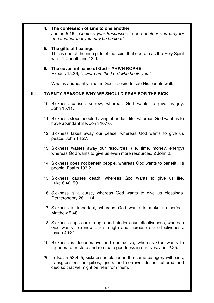|      |                                                       | 4. The confession of sins to one another<br>James 5:16, "Confess your trespasses to one another and pray for<br>one another that you may be healed."                                       |  |
|------|-------------------------------------------------------|--------------------------------------------------------------------------------------------------------------------------------------------------------------------------------------------|--|
|      |                                                       | 5. The gifts of healings<br>This is one of the nine gifts of the spirit that operate as the Holy Spirit<br>wills. 1 Corinthians 12:9.                                                      |  |
|      |                                                       | 6. The covenant name of God – YHWH ROPHE<br>Exodus 15:26, "For I am the Lord who heals you."                                                                                               |  |
|      |                                                       | What is abundantly clear is God's desire to see His people well.                                                                                                                           |  |
| III. | <b>TWENTY REASONS WHY WE SHOULD PRAY FOR THE SICK</b> |                                                                                                                                                                                            |  |
|      |                                                       | 10. Sickness causes sorrow, whereas God wants to give us joy.<br>John 15:11.                                                                                                               |  |
|      |                                                       | 11. Sickness stops people having abundant life, whereas God want us to<br>have abundant life. John 10:10.                                                                                  |  |
|      |                                                       | 12. Sickness takes away our peace, whereas God wants to give us<br>peace. John 14:27.                                                                                                      |  |
|      |                                                       | 13. Sickness wastes away our resources, (i.e. time, money, energy)<br>whereas God wants to give us even more resources. 2 John 2.                                                          |  |
|      |                                                       | 14. Sickness does not benefit people, whereas God wants to benefit His<br>people. Psalm 103:2                                                                                              |  |
|      |                                                       | 15. Sickness causes death, whereas God wants to give us life.<br>Luke 8:40-50.                                                                                                             |  |
|      |                                                       | 16. Sickness is a curse, whereas God wants to give us blessings.<br>Deuteronomy 28:1-14.                                                                                                   |  |
|      |                                                       | 17. Sickness is imperfect, whereas God wants to make us perfect.<br>Matthew 5:48.                                                                                                          |  |
|      |                                                       | 18. Sickness saps our strength and hinders our effectiveness, whereas<br>God wants to renew our strength and increase our effectiveness.<br><b>Isaiah 40:31.</b>                           |  |
|      |                                                       | 19. Sickness is degenerative and destructive, whereas God wants to<br>regenerate, restore and re-create goodness in our lives. Joel 2:25.                                                  |  |
|      |                                                       | 20. In Isaiah 53:4–5, sickness is placed in the same category with sins,<br>transgressions, iniquities, griefs and sorrows. Jesus suffered and<br>died so that we might be free from them. |  |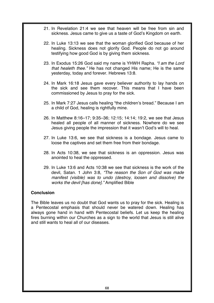- 21. In Revelation 21:4 we see that heaven will be free from sin and sickness. Jesus came to give us a taste of God's Kingdom on earth.
- 22. In Luke 13:13 we see that the woman glorified God because of her healing. Sickness does not glorify God. People do not go around testifying how good God is by giving them sickness.
- 23. In Exodus 15:26 God said my name is YHWH Rapha. *"I am the Lord that healeth thee."* He has not changed His name; He is the same yesterday, today and forever. Hebrews 13:8.
- 24. In Mark 16:18 Jesus gave every believer authority to lay hands on the sick and see them recover. This means that I have been commissioned by Jesus to pray for the sick.
- 25. In Mark 7:27 Jesus calls healing "the children's bread." Because I am a child of God, healing is rightfully mine.
- 26. In Matthew 8:16–17; 9:35–36; 12:15; 14:14; 19:2, we see that Jesus healed all people of all manner of sickness. Nowhere do we see Jesus giving people the impression that it wasn't God's will to heal.
- 27. In Luke 13:6, we see that sickness is a bondage. Jesus came to loose the captives and set them free from their bondage.
- 28. In Acts 10:38, we see that sickness is an oppression. Jesus was anointed to heal the oppressed.
- 29. In Luke 13:6 and Acts 10:38 we see that sickness is the work of the devil, Satan. 1 John 3:8, *"The reason the Son of God was made manifest (visible) was to undo (destroy, loosen and dissolve) the works the devil [has done]."* Amplified Bible

#### **Conclusion**

The Bible leaves us no doubt that God wants us to pray for the sick. Healing is a Pentecostal emphasis that should never be watered down. Healing has always gone hand in hand with Pentecostal beliefs. Let us keep the healing fires burning within our Churches as a sign to the world that Jesus is still alive and still wants to heal all of our diseases.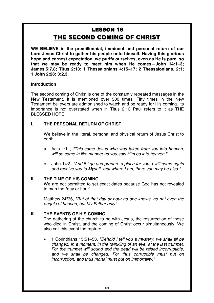# **LESSON 16** THE SECOND COMING OF CHRIST

**WE BELIEVE in the premillennial, imminent and personal return of our Lord Jesus Christ to gather his people unto himself. Having this glorious hope and earnest expectation, we purify ourselves, even as He is pure, so that we may be ready to meet him when He comes—John 14:1–3; James 5:7,8; Titus 2:13; 1 Thessalonians 4:15–17; 2 Thessalonians, 2:1; 1 John 2:28; 3:2,3.** 

## **Introduction**

The second coming of Christ is one of the constantly repeated messages in the New Testament. It is mentioned over 300 times. Fifty times in the New Testament believers are admonished to watch and be ready for His coming. Its importance is not overstated when in Titus 2:13 Paul refers to it as THE BLESSED HOPE.

# **I. THE PERSONAL RETURN OF CHRIST**

We believe in the literal, personal and physical return of Jesus Christ to earth.

- a. Acts 1:11, *"This same Jesus who was taken from you into heaven, will so come in like manner as you saw Him go into heaven."*
- b. John 14:3, *"And if I go and prepare a place for you, I will come again and receive you to Myself, that where I am, there you may be also."*

## **II. THE TIME OF HIS COMING**

We are not permitted to set exact dates because God has not revealed to man the "day or hour".

Matthew 24"36, *"But of that day or hour no one knows, no not even the angels of heaven, but My Father only".* 

## **III. THE EVENTS OF HIS COMING**

The gathering of the church to be with Jesus, the resurrection of those who died in Christ, and the coming of Christ occur simultaneously. We also call this event the rapture.

• 1 Corinthians 15:51–53, *"Behold I tell you a mystery, we shall all be changed. In a moment, in the twinkling of an eye, at the last trumpet. For the trumpet will sound and the dead will be raised incorruptible, and we shall be changed. For thus corruptible must put on incorruption, and thus mortal must put on immortality."*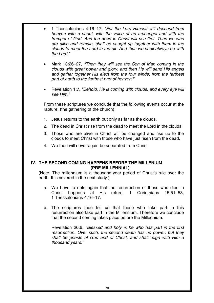- 1 Thessalonians 4:16–17, *"For the Lord Himself will descend from heaven with a shout, with the voice of an archangel and with the trumpet of God. And the dead in Christ will rise first. Then we who are alive and remain, shall be caught up together with them in the clouds to meet the Lord in the air. And thus we shall always be with the Lord."*
- Mark 13:26–27, *"Then they will see the Son of Man coming in the clouds with great power and glory, and then He will send His angels and gather together His elect from the four winds; from the farthest part of earth to the farthest part of heaven."*
- Revelation 1:7, *"Behold, He is coming with clouds, and every eye will see Him."*

From these scriptures we conclude that the following events occur at the rapture, (the gathering of the church):

- 1. Jesus returns to the earth but only as far as the clouds.
- 2. The dead in Christ rise from the dead to meet the Lord in the clouds.
- 3. Those who are alive in Christ will be changed and rise up to the clouds to meet Christ with those who have just risen from the dead.
- 4. We then will never again be separated from Christ.

## **IV. THE SECOND COMING HAPPENS BEFORE THE MILLENIUM (PRE MILLENNIAL)**

(Note: The millennium is a thousand-year period of Christ's rule over the earth. It is covered in the next study.)

- a. We have to note again that the resurrection of those who died in Christ happens at His return. 1 Corinthians 15:51–53, 1 Thessalonians 4:16–17.
- b. The scriptures then tell us that those who take part in this resurrection also take part in the Millennium. Therefore we conclude that the second coming takes place before the Millennium.

Revelation 20:6, *"Blessed and holy is he who has part in the first resurrection. Over such, the second death has no power, but they shall be priests of God and of Christ, and shall reign with Him a thousand years."*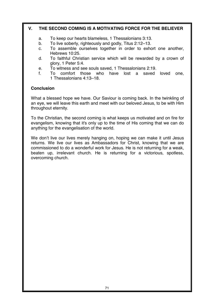# **V. THE SECOND COMING IS A MOTIVATING FORCE FOR THE BELIEVER**

- a. To keep our hearts blameless, 1 Thessalonians 3:13.
- b. To live soberly, righteously and godly, Titus 2:12–13.
- c. To assemble ourselves together in order to exhort one another, Hebrews 10:25.
- d. To faithful Christian service which will be rewarded by a crown of glory, 1 Peter 5:4.
- e. To witness and see souls saved, 1 Thessalonians 2:19.<br>f. To comfort those who have lost a saved
- comfort those who have lost a saved loved one, 1 Thessalonians 4:13–18.

#### **Conclusion**

What a blessed hope we have. Our Saviour is coming back. In the twinkling of an eye, we will leave this earth and meet with our beloved Jesus, to be with Him throughout eternity.

To the Christian, the second coming is what keeps us motivated and on fire for evangelism, knowing that it's only up to the time of His coming that we can do anything for the evangelisation of the world.

We don't live our lives merely hanging on, hoping we can make it until Jesus returns. We live our lives as Ambassadors for Christ, knowing that we are commissioned to do a wonderful work for Jesus. He is not returning for a weak, beaten up, irrelevant church. He is returning for a victorious, spotless, overcoming church.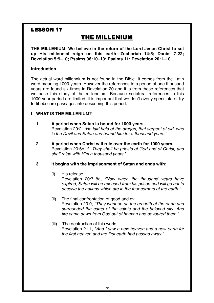# **LESSON 17**

# THE MILLENIUM

**THE MILLENIUM: We believe in the return of the Lord Jesus Christ to set up His millennial reign on this earth—Zechariah 14:5; Daniel 7:22; Revelation 5:9–10; Psalms 96:10–13; Psalms 11; Revelation 20:1–10.** 

# **Introduction**

The actual word millennium is not found in the Bible. It comes from the Latin word meaning 1000 years. However the references to a period of one thousand years are found six times in Revelation 20 and it is from these references that we base this study of the millennium. Because scriptural references to this 1000 year period are limited, it is important that we don't overly speculate or try to fit obscure passages into describing this period.

# **I WHAT IS THE MILLENIUM?**

- **1. A period when Satan is bound for 1000 years.**  Revelation 20:2, *"He laid hold of the dragon, that serpent of old, who*  is the Devil and Satan and bound him for a thousand *years."*
- **2. A period when Christ will rule over the earth for 1000 years.**  Revelation 20:6b, *"...They shall be priests of God and of Christ, and shall reign with Him a thousand years."*

# **3. It begins with the imprisonment of Satan and ends with:**

(i) His release

Revelation 20:7–8a, *"Now when the thousand years have expired, Satan will be released from his prison and will go out to deceive the nations which are in the four corners of the earth."*

- (ii) The final confrontation of good and evil Revelation 20:9, *"They went up on the breadth of the earth and surrounded the camp of the saints and the beloved city. And fire came down from God out of heaven and devoured them."*
- (iii) The destruction of this world. Revelation 21:1, *"And I saw a new heaven and a new earth for the first heaven and the first earth had passed away."*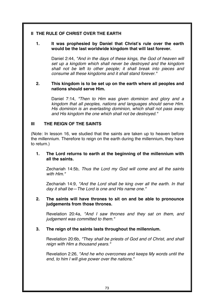# **II THE RULE OF CHRIST OVER THE EARTH**

#### **1. It was prophesied by Daniel that Christ's rule over the earth would be the last worldwide kingdom that will last forever.**

Daniel 2:44, *"And in the days of these kings, the God of heaven will set up a kingdom which shall never be destroyed and the kingdom shall not be left to other people; it shall break into pieces and consume all these kingdoms and it shall stand forever."*

#### **2. This kingdom is to be set up on the earth where all peoples and nations should serve Him.**

Daniel 7:14, *"Then to Him was given dominion and glory and a kingdom that all peoples, nations and languages should serve Him. His dominion is an everlasting dominion, which shall not pass away and His kingdom the one which shall not be destroyed."*

### **III THE REIGN OF THE SAINTS**

(Note: In lesson 16, we studied that the saints are taken up to heaven before the millennium. Therefore to reign on the earth during the millennium, they have to return.)

#### **1. The Lord returns to earth at the beginning of the millennium with all the saints.**

Zechariah 14:5b, *Thus the Lord my God will come and all the saints with Him."*

Zechariah 14:9, *"And the Lord shall be king over all the earth. In that day it shall be—The Lord is one and His name one."*

#### **2. The saints will have thrones to sit on and be able to pronounce judgements from those thrones.**

Revelation 20:4a, *"And I saw thrones and they sat on them, and judgement was committed to them."*

#### **3. The reign of the saints lasts throughout the millennium.**

Revelation 20:6b, *"They shall be priests of God and of Christ, and shall reign with Him a thousand years."*

Revelation 2:26, *"And he who overcomes and keeps My words until the end, to him I will give power over the nations."*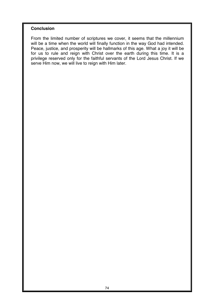## **Conclusion**

From the limited number of scriptures we cover, it seems that the millennium will be a time when the world will finally function in the way God had intended. Peace, justice, and prosperity will be hallmarks of this age. What a joy it will be for us to rule and reign with Christ over the earth during this time. It is a privilege reserved only for the faithful servants of the Lord Jesus Christ. If we serve Him now, we will live to reign with Him later.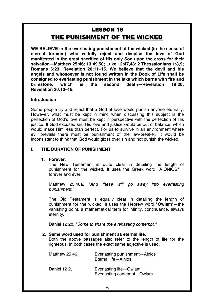# **LESSON 18** THE PUNISHMENT OF THE WICKED

**WE BELIEVE in the everlasting punishment of the wicked (in the sense of eternal torment) who wilfully reject and despise the love of God manifested in the great sacrifice of His only Son upon the cross for their salvation—Matthew 25:46; 13:49,50; Luke 12:47,48; 2 Thessalonians 1:8,9; Romans 6:23; Revelation 20:11–15. We believe that the devil and his angels and whosoever is not found written in the Book of Life shall be consigned to everlasting punishment in the lake which burns with fire and brimstone, which is the second death—Revelation 19:20; Revelation 20:10–15.** 

#### **Introduction**

Some people try and reject that a God of love would punish anyone eternally. However, what must be kept in mind when discussing this subject is the perfection of God's love must be kept in perspective with the perfection of His justice. If God excused sin, His love and justice would be out of balance, which would make Him less than perfect. For us to survive in an environment where evil prevails there must be punishment of the law-breaker. It would be inconsistent to think that God would gloss over sin and not punish the wicked.

# **I. THE DURATION OF PUNISHMENT**

#### **1. Forever.**

The New Testament is quite clear in detailing the length of punishment for the wicked. It uses the Greek word "AIONIOS" = forever and ever.

Matthew 25:46a, *"And these will go away into everlasting punishment."*

The Old Testament is equally clear in detailing the length of punishment for the wicked. It uses the Hebrew word "**Owlam**"—the vanishing point, a mathematical term for infinity, continuance, always eternity.

Daniel 12:2b, *"Some to share the everlasting contempt."*

#### **2. Same word used for punishment as eternal life.**

Both the above passages also refer to the length of life for the righteous. In both cases the exact same adjective is used.

| Matthew 25:46, | Everlasting punishment-Ainios<br>Eternal life-Ainios |
|----------------|------------------------------------------------------|
| Daniel 12:2,   | Everlasting life-Owlam<br>Everlasting contempt-Owlam |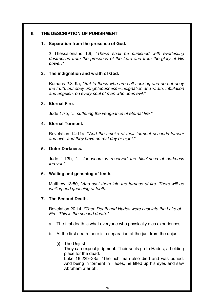# **II. THE DESCRIPTION OF PUNISHMENT**

#### **1. Separation from the presence of God.**

2 Thessalonians 1:9, *"These shall be punished with everlasting destruction from the presence of the Lord and from the glory of His power."*

### **2. The indignation and wrath of God.**

Romans 2:8–9a, *"But to those who are self seeking and do not obey the truth, but obey unrighteousness—indignation and wrath, tribulation and anguish, on every soul of man who does evil."*

### **3. Eternal Fire.**

Jude 1:7b, *"... suffering the vengeance of eternal fire."*

### **4. Eternal Torment.**

Revelation 14:11a, "*And the smoke of their torment ascends forever and ever and they have no rest day or night."*

### **5. Outer Darkness.**

Jude 1:13b, *"... for whom is reserved the blackness of darkness forever."*

# **6. Wailing and gnashing of teeth.**

Matthew 13:50, *"And cast them into the furnace of fire. There will be wailing and gnashing of teeth."*

# **7. The Second Death.**

Revelation 20:14, "Then Death and Hades were cast into the Lake of *Fire. This is the second death."*

- a. The first death is what everyone who physically dies experiences.
- b. At the first death there is a separation of the just from the unjust.
	- (i) The Unjust

They can expect judgment. Their souls go to Hades, a holding place for the dead.

Luke 16:22b–23a, "The rich man also died and was buried. And being in torment in Hades, he lifted up his eyes and saw Abraham afar off."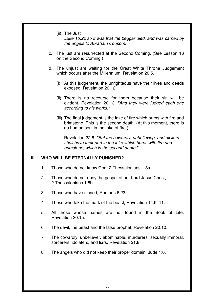(ii) The Just

*Luke 16:22 so it was that the beggar died, and was carried by*  the angels to Abraham's bosom.

- c. The just are resurrected at the Second Coming. (See Lesson 16 on the Second Coming.)
- d. The unjust are waiting for the Great White Throne Judgement which occurs after the Millennium. Revelation 20:5.
	- (i) At this judgement, the unrighteous have their lives and deeds exposed. Revelation 20:12.
	- (ii) There is no recourse for them because their sin will be evident. Revelation 20:13, *"And they were judged each one according to his works."*
	- (iii) The final judgement is the lake of fire which burns with fire and brimstone. This is the second death. (At this moment, there is no human soul in the lake of fire.)

Revelation 22:8, *"But the cowardly, unbelieving, and all liars shall have their part in the lake which burns with fire and brimstone, which is the second death."*

#### **III WHO WILL BE ETERNALLY PUNISHED?**

- 1. Those who do not know God. 2 Thessalonians 1:8a.
- 2. Those who do not obey the gospel of our Lord Jesus Christ, 2 Thessalonians 1:8b.
- 3. Those who have sinned, Romans 6:23.
- 4. Those who take the mark of the beast, Revelation 14:9–11.
- 5. All those whose names are not found in the Book of Life, Revelation 20:15.
- 6. The devil, the beast and the false prophet, Revelation 20:10.
- 7. The cowardly, unbeliever, abominable, murderers, sexually immoral, sorcerers, idolaters, and liars, Revelation 21:8.
- 8. The angels who did not keep their proper domain, Jude 1:6.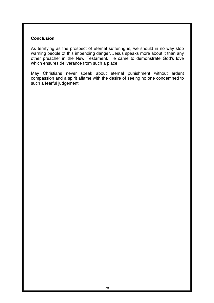# **Conclusion**

As terrifying as the prospect of eternal suffering is, we should in no way stop warning people of this impending danger. Jesus speaks more about it than any other preacher in the New Testament. He came to demonstrate God's love which ensures deliverance from such a place.

May Christians never speak about eternal punishment without ardent compassion and a spirit aflame with the desire of seeing no one condemned to such a fearful judgement.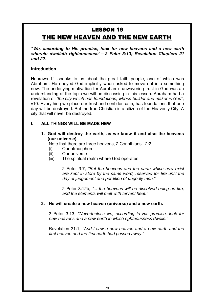# **LESSON 19** THE NEW HEAVEN AND THE NEW EARTH

*"We, according to His promise, look for new heavens and a new earth wherein dwelleth righteousness"—2 Peter 3:13; Revelation Chapters 21 and 22.* 

### **Introduction**

Hebrews 11 speaks to us about the great faith people, one of which was Abraham. He obeyed God implicitly when asked to move out into something new. The underlying motivation for Abraham's unwavering trust in God was an understanding of the topic we will be discussing in this lesson. Abraham had a revelation of *"the city which has foundations, whose builder and maker is God"*, v10. Everything we place our trust and confidence in, has foundations that one day will be destroyed. But the true Christian is a citizen of the Heavenly City. A city that will never be destroyed.

# **I. ALL THINGS WILL BE MADE NEW**

**1. God will destroy the earth, as we know it and also the heavens (our universe).** 

Note that there are three heavens, 2 Corinthians 12:2:

- (i) Our atmosphere
- (ii) Our universe
- (iii) The spiritual realm where God operates

2 Peter 3:7, *"But the heavens and the earth which now exist are kept in store by the same word, reserved for fire until the day of judgement and perdition of ungodly men."*

2 Peter 3:12b, *"... the heavens will be dissolved being on fire, and the elements will melt with fervent heat."*

#### **2. He will create a new heaven (universe) and a new earth.**

2 Peter 3:13, *"Nevertheless we, according to His promise, look for new heavens and a new earth in which righteousness dwells."*

Revelation 21:1, *"And I saw a new heaven and a new earth and the first heaven and the first earth had passed away."*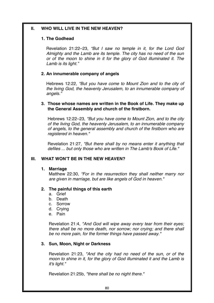### **II. WHO WILL LIVE IN THE NEW HEAVEN?**

#### **1. The Godhead**

Revelation 21:22–23, *"But I saw no temple in it, for the Lord God Almighty and the Lamb are its temple. The city has no need of the sun or of the moon to shine in it for the glory of God illuminated it. The Lamb is its light."* 

# **2. An innumerable company of angels**

Hebrews 12:22, *"But you have come to Mount Zion and to the city of the living God, the heavenly Jerusalem, to an innumerable company of angels."* 

#### **3. Those whose names are written in the Book of Life. They make up the General Assembly and church of the firstborn.**

Hebrews 12:22–23, *"But you have come to Mount Zion, and to the city of the living God, the heavenly Jerusalem, to an innumerable company of angels, to the general assembly and church of the firstborn who are registered in heaven."*

Revelation 21:27, *"But there shall by no means enter it anything that defiles ... but only those who are written in The Lamb's Book of Life."*

# **III. WHAT WON'T BE IN THE NEW HEAVEN?**

#### **1. Marriage**

Matthew 22:30, *"For in the resurrection they shall neither marry nor are given in marriage, but are like angels of God in heaven."* 

#### **2. The painful things of this earth**

- a. Grief
- b. Death
- c. Sorrow
- d. Crying
- e. Pain

Revelation 21:4, *"And God will wipe away every tear from their eyes; there shall be no more death, nor sorrow; nor crying; and there shall be no more pain, for the former things have passed away."*

#### **3. Sun, Moon, Night or Darkness**

Revelation 21:23, *"And the city had no need of the sun, or of the moon to shine in it, for the glory of God illuminated it and the Lamb is it's light."*

Revelation 21:25b, *"there shall be no night there."*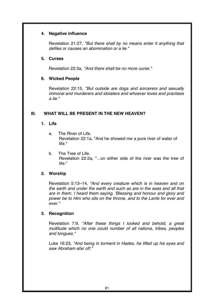#### **4. Negative influence**

Revelation 21:27, *"But there shall by no means enter it anything that defiles or causes an abomination or a lie."*

### **5. Curses**

Revelation 22:3a, *"And there shall be no more curse."* 

### **6. Wicked People**

Revelation 22:15, *"But outside are dogs and sorcerers and sexually immoral and murderers and idolaters and whoever loves and practises a lie."*

# **III. WHAT WILL BE PRESENT IN THE NEW HEAVEN?**

### **1. Life**

- a. The River of Life. Revelation 22:1a, "And he showed me a pure river of water of life."
- b. The Tree of Life. Revelation 22:2a, "...on either side of the river was the tree of life."

# **2. Worship**

Revelation 5:13–14, *"And every creature which is in heaven and on the earth and under the earth and such as are in the seas and all that are in them. I heard them saying, 'Blessing and honour and glory and power be to Him who sits on the throne, and to the Lamb for ever and ever."*

# **3. Recognition**

Revelation 7:9, *"After these things I looked and behold, a great multitude which no one could number of all nations, tribes, peoples and tongues."*

Luke 16:23, *"And being in torment in Hades, he lifted up his eyes and saw Abraham afar off."*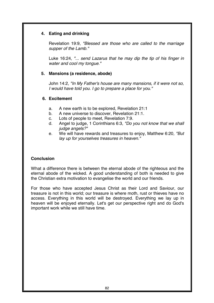# **4. Eating and drinking**

Revelation 19:9, *"Blessed are those who are called to the marriage supper of the Lamb."*

Luke 16:24, *"... send Lazarus that he may dip the tip of his finger in water and cool my tongue."*

#### **5. Mansions (a residence, abode)**

John 14:2, *"In My Father's house are many mansions, if it were not so, I would have told you. I go to prepare a place for you."* 

#### **6. Excitement**

- a. A new earth is to be explored, Revelation 21:1
- b. A new universe to discover, Revelation 21:1.
- c. Lots of people to meet, Revelation 7:9.
- d. Angel to judge, 1 Corinthians 6:3, "Do you not know that we shall *judge angels?"*
- e. We will have rewards and treasures to enjoy, Matthew 6:20*, "But lay up for yourselves treasures in heaven."*

# **Conclusion**

What a difference there is between the eternal abode of the righteous and the eternal abode of the wicked. A good understanding of both is needed to give the Christian extra motivation to evangelise the world and our friends.

For those who have accepted Jesus Christ as their Lord and Saviour, our treasure is not in this world; our treasure is where moth, rust or thieves have no access. Everything in this world will be destroyed. Everything we lay up in heaven will be enjoyed eternally. Let's get our perspective right and do God's important work while we still have time.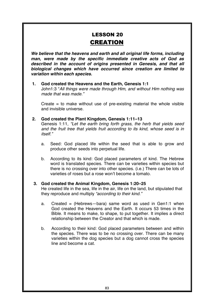# **LESSON 20 CREATION**

*We believe that the heavens and earth and all original life forms, including man, were made by the specific immediate creative acts of God as described in the account of origins presented in Genesis, and that all biological changes which have occurred since creation are limited to variation within each species.* 

**1. God created the Heavens and the Earth, Genesis 1:1**  John1:3 "*All things were made through Him, and without Him nothing was made that was made."* 

Create  $=$  to make without use of pre-existing material the whole visible and invisible universe.

- **2. God created the Plant Kingdom, Genesis 1:11–13**  Genesis 1:11, *"Let the earth bring forth grass, the herb that yields seed and the fruit tree that yields fruit according to its kind, whose seed is in itself."* 
	- a. Seed: God placed life within the seed that is able to grow and produce other seeds into perpetual life.
	- b. According to its kind: God placed parameters of kind. The Hebrew word is translated species. There can be varieties within species but there is no crossing over into other species. (i.e.) There can be lots of varieties of roses but a rose won't become a tomato.

# **3. God created the Animal Kingdom, Genesis 1:20–25**

He created life in the sea, life in the air, life on the land, but stipulated that they reproduce and multiply *"according to their kind."* 

- a. Created = (Hebrews—bara) same word as used in Gen1:1 when God created the Heavens and the Earth. It occurs 53 times in the Bible. It means to make, to shape, to put together. It implies a direct relationship between the Creator and that which is made.
- b. According to their kind: God placed parameters between and within the species. There was to be no crossing over. There can be many varieties within the dog species but a dog cannot cross the species line and become a cat.